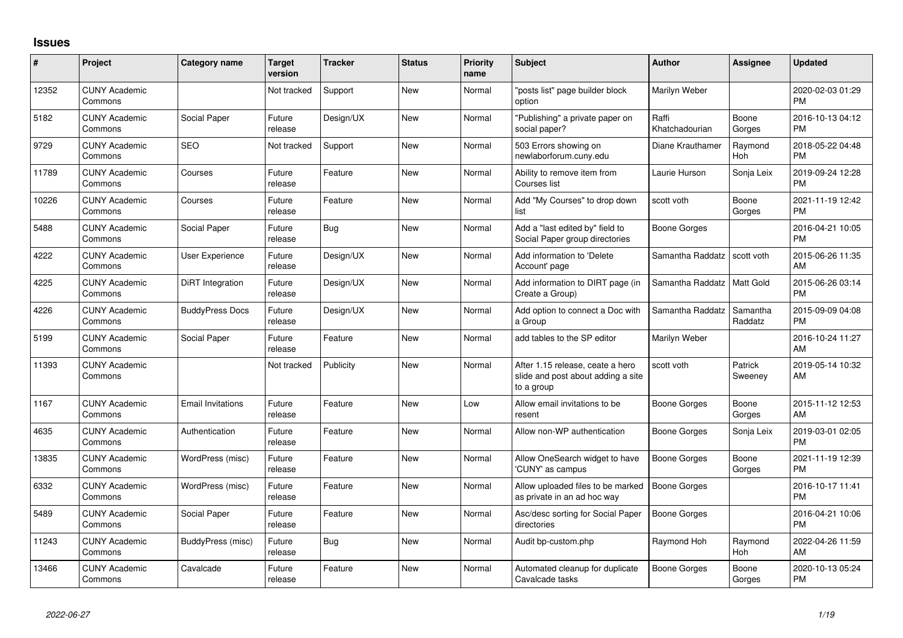## **Issues**

| #     | <b>Project</b>                  | <b>Category name</b>     | <b>Target</b><br>version | <b>Tracker</b> | <b>Status</b> | <b>Priority</b><br>name | <b>Subject</b>                                                                       | <b>Author</b>           | <b>Assignee</b>       | <b>Updated</b>                |
|-------|---------------------------------|--------------------------|--------------------------|----------------|---------------|-------------------------|--------------------------------------------------------------------------------------|-------------------------|-----------------------|-------------------------------|
| 12352 | <b>CUNY Academic</b><br>Commons |                          | Not tracked              | Support        | <b>New</b>    | Normal                  | 'posts list" page builder block<br>option                                            | Marilyn Weber           |                       | 2020-02-03 01:29<br><b>PM</b> |
| 5182  | <b>CUNY Academic</b><br>Commons | Social Paper             | Future<br>release        | Design/UX      | <b>New</b>    | Normal                  | 'Publishing" a private paper on<br>social paper?                                     | Raffi<br>Khatchadourian | Boone<br>Gorges       | 2016-10-13 04:12<br><b>PM</b> |
| 9729  | <b>CUNY Academic</b><br>Commons | <b>SEO</b>               | Not tracked              | Support        | <b>New</b>    | Normal                  | 503 Errors showing on<br>newlaborforum.cuny.edu                                      | Diane Krauthamer        | Raymond<br><b>Hoh</b> | 2018-05-22 04:48<br><b>PM</b> |
| 11789 | <b>CUNY Academic</b><br>Commons | Courses                  | Future<br>release        | Feature        | <b>New</b>    | Normal                  | Ability to remove item from<br>Courses list                                          | Laurie Hurson           | Sonja Leix            | 2019-09-24 12:28<br><b>PM</b> |
| 10226 | <b>CUNY Academic</b><br>Commons | Courses                  | Future<br>release        | Feature        | <b>New</b>    | Normal                  | Add "My Courses" to drop down<br>list                                                | scott voth              | Boone<br>Gorges       | 2021-11-19 12:42<br><b>PM</b> |
| 5488  | <b>CUNY Academic</b><br>Commons | Social Paper             | Future<br>release        | Bug            | <b>New</b>    | Normal                  | Add a "last edited by" field to<br>Social Paper group directories                    | <b>Boone Gorges</b>     |                       | 2016-04-21 10:05<br><b>PM</b> |
| 4222  | <b>CUNY Academic</b><br>Commons | User Experience          | Future<br>release        | Design/UX      | <b>New</b>    | Normal                  | Add information to 'Delete<br>Account' page                                          | Samantha Raddatz        | scott voth            | 2015-06-26 11:35<br>AM        |
| 4225  | <b>CUNY Academic</b><br>Commons | DiRT Integration         | Future<br>release        | Design/UX      | <b>New</b>    | Normal                  | Add information to DIRT page (in<br>Create a Group)                                  | Samantha Raddatz        | <b>Matt Gold</b>      | 2015-06-26 03:14<br><b>PM</b> |
| 4226  | <b>CUNY Academic</b><br>Commons | <b>BuddyPress Docs</b>   | Future<br>release        | Design/UX      | New           | Normal                  | Add option to connect a Doc with<br>a Group                                          | Samantha Raddatz        | Samantha<br>Raddatz   | 2015-09-09 04:08<br><b>PM</b> |
| 5199  | <b>CUNY Academic</b><br>Commons | Social Paper             | Future<br>release        | Feature        | <b>New</b>    | Normal                  | add tables to the SP editor                                                          | Marilyn Weber           |                       | 2016-10-24 11:27<br>AM        |
| 11393 | <b>CUNY Academic</b><br>Commons |                          | Not tracked              | Publicity      | <b>New</b>    | Normal                  | After 1.15 release, ceate a hero<br>slide and post about adding a site<br>to a group | scott voth              | Patrick<br>Sweeney    | 2019-05-14 10:32<br>AM        |
| 1167  | <b>CUNY Academic</b><br>Commons | <b>Email Invitations</b> | Future<br>release        | Feature        | <b>New</b>    | Low                     | Allow email invitations to be<br>resent                                              | Boone Gorges            | Boone<br>Gorges       | 2015-11-12 12:53<br>AM        |
| 4635  | <b>CUNY Academic</b><br>Commons | Authentication           | Future<br>release        | Feature        | <b>New</b>    | Normal                  | Allow non-WP authentication                                                          | <b>Boone Gorges</b>     | Sonja Leix            | 2019-03-01 02:05<br><b>PM</b> |
| 13835 | <b>CUNY Academic</b><br>Commons | WordPress (misc)         | Future<br>release        | Feature        | <b>New</b>    | Normal                  | Allow OneSearch widget to have<br>'CUNY' as campus                                   | <b>Boone Gorges</b>     | Boone<br>Gorges       | 2021-11-19 12:39<br><b>PM</b> |
| 6332  | <b>CUNY Academic</b><br>Commons | WordPress (misc)         | Future<br>release        | Feature        | <b>New</b>    | Normal                  | Allow uploaded files to be marked<br>as private in an ad hoc way                     | <b>Boone Gorges</b>     |                       | 2016-10-17 11:41<br><b>PM</b> |
| 5489  | <b>CUNY Academic</b><br>Commons | Social Paper             | Future<br>release        | Feature        | <b>New</b>    | Normal                  | Asc/desc sorting for Social Paper<br>directories                                     | <b>Boone Gorges</b>     |                       | 2016-04-21 10:06<br><b>PM</b> |
| 11243 | <b>CUNY Academic</b><br>Commons | BuddyPress (misc)        | Future<br>release        | <b>Bug</b>     | <b>New</b>    | Normal                  | Audit bp-custom.php                                                                  | Raymond Hoh             | Raymond<br><b>Hoh</b> | 2022-04-26 11:59<br>AM        |
| 13466 | <b>CUNY Academic</b><br>Commons | Cavalcade                | Future<br>release        | Feature        | <b>New</b>    | Normal                  | Automated cleanup for duplicate<br>Cavalcade tasks                                   | <b>Boone Gorges</b>     | Boone<br>Gorges       | 2020-10-13 05:24<br><b>PM</b> |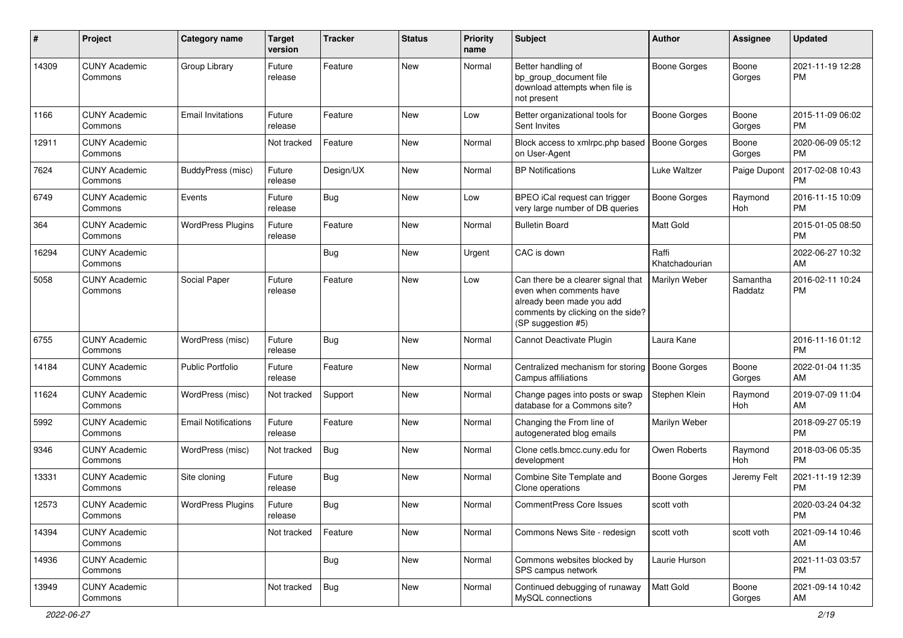| #     | Project                         | <b>Category name</b>       | <b>Target</b><br>version | <b>Tracker</b> | <b>Status</b> | <b>Priority</b><br>name | <b>Subject</b>                                                                                                                                        | <b>Author</b>           | Assignee            | <b>Updated</b>                |
|-------|---------------------------------|----------------------------|--------------------------|----------------|---------------|-------------------------|-------------------------------------------------------------------------------------------------------------------------------------------------------|-------------------------|---------------------|-------------------------------|
| 14309 | <b>CUNY Academic</b><br>Commons | Group Library              | Future<br>release        | Feature        | <b>New</b>    | Normal                  | Better handling of<br>bp_group_document file<br>download attempts when file is<br>not present                                                         | <b>Boone Gorges</b>     | Boone<br>Gorges     | 2021-11-19 12:28<br><b>PM</b> |
| 1166  | <b>CUNY Academic</b><br>Commons | <b>Email Invitations</b>   | Future<br>release        | Feature        | <b>New</b>    | Low                     | Better organizational tools for<br>Sent Invites                                                                                                       | <b>Boone Gorges</b>     | Boone<br>Gorges     | 2015-11-09 06:02<br><b>PM</b> |
| 12911 | <b>CUNY Academic</b><br>Commons |                            | Not tracked              | Feature        | <b>New</b>    | Normal                  | Block access to xmlrpc.php based<br>on User-Agent                                                                                                     | <b>Boone Gorges</b>     | Boone<br>Gorges     | 2020-06-09 05:12<br><b>PM</b> |
| 7624  | <b>CUNY Academic</b><br>Commons | BuddyPress (misc)          | Future<br>release        | Design/UX      | <b>New</b>    | Normal                  | <b>BP</b> Notifications                                                                                                                               | Luke Waltzer            | Paige Dupont        | 2017-02-08 10:43<br><b>PM</b> |
| 6749  | <b>CUNY Academic</b><br>Commons | Events                     | Future<br>release        | <b>Bug</b>     | <b>New</b>    | Low                     | BPEO iCal request can trigger<br>very large number of DB queries                                                                                      | <b>Boone Gorges</b>     | Raymond<br>Hoh      | 2016-11-15 10:09<br><b>PM</b> |
| 364   | <b>CUNY Academic</b><br>Commons | <b>WordPress Plugins</b>   | Future<br>release        | Feature        | New           | Normal                  | <b>Bulletin Board</b>                                                                                                                                 | <b>Matt Gold</b>        |                     | 2015-01-05 08:50<br><b>PM</b> |
| 16294 | <b>CUNY Academic</b><br>Commons |                            |                          | <b>Bug</b>     | <b>New</b>    | Urgent                  | CAC is down                                                                                                                                           | Raffi<br>Khatchadourian |                     | 2022-06-27 10:32<br>AM        |
| 5058  | <b>CUNY Academic</b><br>Commons | Social Paper               | Future<br>release        | Feature        | New           | Low                     | Can there be a clearer signal that<br>even when comments have<br>already been made you add<br>comments by clicking on the side?<br>(SP suggestion #5) | Marilyn Weber           | Samantha<br>Raddatz | 2016-02-11 10:24<br><b>PM</b> |
| 6755  | <b>CUNY Academic</b><br>Commons | WordPress (misc)           | Future<br>release        | Bug            | <b>New</b>    | Normal                  | Cannot Deactivate Plugin                                                                                                                              | Laura Kane              |                     | 2016-11-16 01:12<br><b>PM</b> |
| 14184 | <b>CUNY Academic</b><br>Commons | <b>Public Portfolio</b>    | Future<br>release        | Feature        | <b>New</b>    | Normal                  | Centralized mechanism for storing<br>Campus affiliations                                                                                              | Boone Gorges            | Boone<br>Gorges     | 2022-01-04 11:35<br>AM        |
| 11624 | <b>CUNY Academic</b><br>Commons | WordPress (misc)           | Not tracked              | Support        | <b>New</b>    | Normal                  | Change pages into posts or swap<br>database for a Commons site?                                                                                       | Stephen Klein           | Raymond<br>Hoh      | 2019-07-09 11:04<br>AM        |
| 5992  | <b>CUNY Academic</b><br>Commons | <b>Email Notifications</b> | Future<br>release        | Feature        | <b>New</b>    | Normal                  | Changing the From line of<br>autogenerated blog emails                                                                                                | Marilyn Weber           |                     | 2018-09-27 05:19<br><b>PM</b> |
| 9346  | <b>CUNY Academic</b><br>Commons | WordPress (misc)           | Not tracked              | Bug            | New           | Normal                  | Clone cetls.bmcc.cuny.edu for<br>development                                                                                                          | Owen Roberts            | Raymond<br>Hoh      | 2018-03-06 05:35<br><b>PM</b> |
| 13331 | <b>CUNY Academic</b><br>Commons | Site cloning               | Future<br>release        | <b>Bug</b>     | <b>New</b>    | Normal                  | Combine Site Template and<br>Clone operations                                                                                                         | <b>Boone Gorges</b>     | Jeremy Felt         | 2021-11-19 12:39<br>PM        |
| 12573 | <b>CUNY Academic</b><br>Commons | <b>WordPress Plugins</b>   | Future<br>release        | <b>Bug</b>     | New           | Normal                  | <b>CommentPress Core Issues</b>                                                                                                                       | scott voth              |                     | 2020-03-24 04:32<br>PM        |
| 14394 | <b>CUNY Academic</b><br>Commons |                            | Not tracked              | Feature        | New           | Normal                  | Commons News Site - redesign                                                                                                                          | scott voth              | scott voth          | 2021-09-14 10:46<br>AM        |
| 14936 | <b>CUNY Academic</b><br>Commons |                            |                          | <b>Bug</b>     | New           | Normal                  | Commons websites blocked by<br>SPS campus network                                                                                                     | Laurie Hurson           |                     | 2021-11-03 03:57<br><b>PM</b> |
| 13949 | <b>CUNY Academic</b><br>Commons |                            | Not tracked              | Bug            | New           | Normal                  | Continued debugging of runaway<br>MySQL connections                                                                                                   | Matt Gold               | Boone<br>Gorges     | 2021-09-14 10:42<br>AM        |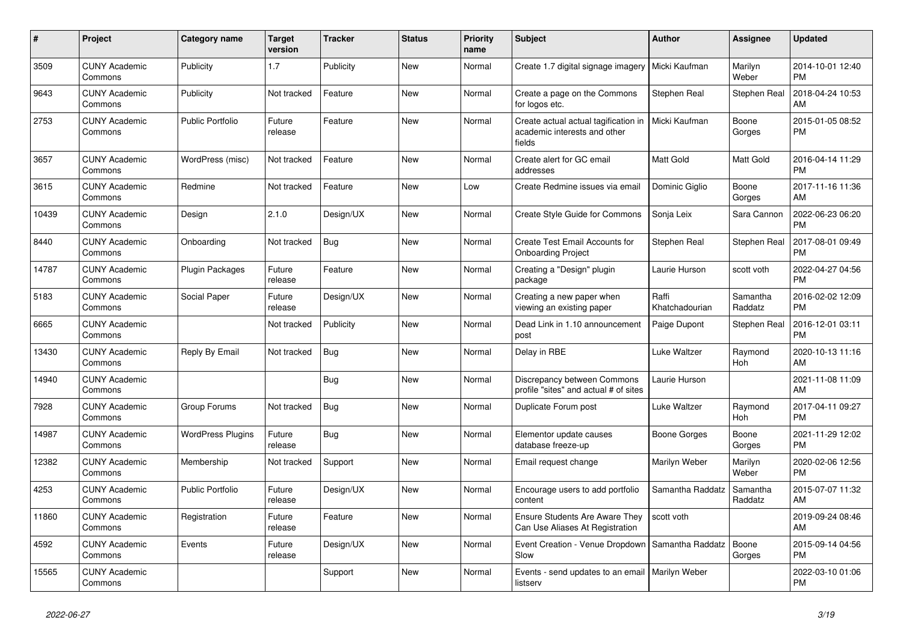| $\pmb{\#}$ | Project                         | Category name            | <b>Target</b><br>version | <b>Tracker</b> | <b>Status</b> | <b>Priority</b><br>name | <b>Subject</b>                                                                 | <b>Author</b>           | <b>Assignee</b>     | <b>Updated</b>                |
|------------|---------------------------------|--------------------------|--------------------------|----------------|---------------|-------------------------|--------------------------------------------------------------------------------|-------------------------|---------------------|-------------------------------|
| 3509       | <b>CUNY Academic</b><br>Commons | Publicity                | 1.7                      | Publicity      | <b>New</b>    | Normal                  | Create 1.7 digital signage imagery                                             | Micki Kaufman           | Marilyn<br>Weber    | 2014-10-01 12:40<br><b>PM</b> |
| 9643       | <b>CUNY Academic</b><br>Commons | Publicity                | Not tracked              | Feature        | <b>New</b>    | Normal                  | Create a page on the Commons<br>for logos etc.                                 | Stephen Real            | Stephen Real        | 2018-04-24 10:53<br>AM        |
| 2753       | <b>CUNY Academic</b><br>Commons | <b>Public Portfolio</b>  | Future<br>release        | Feature        | <b>New</b>    | Normal                  | Create actual actual tagification in<br>academic interests and other<br>fields | Micki Kaufman           | Boone<br>Gorges     | 2015-01-05 08:52<br><b>PM</b> |
| 3657       | <b>CUNY Academic</b><br>Commons | WordPress (misc)         | Not tracked              | Feature        | <b>New</b>    | Normal                  | Create alert for GC email<br>addresses                                         | <b>Matt Gold</b>        | Matt Gold           | 2016-04-14 11:29<br><b>PM</b> |
| 3615       | <b>CUNY Academic</b><br>Commons | Redmine                  | Not tracked              | Feature        | <b>New</b>    | Low                     | Create Redmine issues via email                                                | Dominic Giglio          | Boone<br>Gorges     | 2017-11-16 11:36<br>AM        |
| 10439      | <b>CUNY Academic</b><br>Commons | Design                   | 2.1.0                    | Design/UX      | <b>New</b>    | Normal                  | Create Style Guide for Commons                                                 | Sonja Leix              | Sara Cannon         | 2022-06-23 06:20<br><b>PM</b> |
| 8440       | <b>CUNY Academic</b><br>Commons | Onboarding               | Not tracked              | Bug            | <b>New</b>    | Normal                  | Create Test Email Accounts for<br><b>Onboarding Project</b>                    | Stephen Real            | Stephen Real        | 2017-08-01 09:49<br><b>PM</b> |
| 14787      | <b>CUNY Academic</b><br>Commons | <b>Plugin Packages</b>   | Future<br>release        | Feature        | New           | Normal                  | Creating a "Design" plugin<br>package                                          | Laurie Hurson           | scott voth          | 2022-04-27 04:56<br><b>PM</b> |
| 5183       | <b>CUNY Academic</b><br>Commons | Social Paper             | Future<br>release        | Design/UX      | <b>New</b>    | Normal                  | Creating a new paper when<br>viewing an existing paper                         | Raffi<br>Khatchadourian | Samantha<br>Raddatz | 2016-02-02 12:09<br><b>PM</b> |
| 6665       | <b>CUNY Academic</b><br>Commons |                          | Not tracked              | Publicity      | <b>New</b>    | Normal                  | Dead Link in 1.10 announcement<br>post                                         | Paige Dupont            | Stephen Real        | 2016-12-01 03:11<br><b>PM</b> |
| 13430      | <b>CUNY Academic</b><br>Commons | Reply By Email           | Not tracked              | Bug            | <b>New</b>    | Normal                  | Delay in RBE                                                                   | Luke Waltzer            | Raymond<br>Hoh      | 2020-10-13 11:16<br>AM        |
| 14940      | <b>CUNY Academic</b><br>Commons |                          |                          | Bug            | <b>New</b>    | Normal                  | Discrepancy between Commons<br>profile "sites" and actual # of sites           | Laurie Hurson           |                     | 2021-11-08 11:09<br>AM        |
| 7928       | <b>CUNY Academic</b><br>Commons | Group Forums             | Not tracked              | Bug            | <b>New</b>    | Normal                  | Duplicate Forum post                                                           | Luke Waltzer            | Raymond<br>Hoh      | 2017-04-11 09:27<br><b>PM</b> |
| 14987      | <b>CUNY Academic</b><br>Commons | <b>WordPress Plugins</b> | Future<br>release        | Bug            | New           | Normal                  | Elementor update causes<br>database freeze-up                                  | Boone Gorges            | Boone<br>Gorges     | 2021-11-29 12:02<br><b>PM</b> |
| 12382      | <b>CUNY Academic</b><br>Commons | Membership               | Not tracked              | Support        | <b>New</b>    | Normal                  | Email request change                                                           | Marilyn Weber           | Marilyn<br>Weber    | 2020-02-06 12:56<br><b>PM</b> |
| 4253       | <b>CUNY Academic</b><br>Commons | <b>Public Portfolio</b>  | Future<br>release        | Design/UX      | <b>New</b>    | Normal                  | Encourage users to add portfolio<br>content                                    | Samantha Raddatz        | Samantha<br>Raddatz | 2015-07-07 11:32<br>AM        |
| 11860      | <b>CUNY Academic</b><br>Commons | Registration             | Future<br>release        | Feature        | <b>New</b>    | Normal                  | Ensure Students Are Aware They<br>Can Use Aliases At Registration              | scott voth              |                     | 2019-09-24 08:46<br>AM        |
| 4592       | <b>CUNY Academic</b><br>Commons | Events                   | Future<br>release        | Design/UX      | <b>New</b>    | Normal                  | Event Creation - Venue Dropdown<br>Slow                                        | Samantha Raddatz        | Boone<br>Gorges     | 2015-09-14 04:56<br><b>PM</b> |
| 15565      | <b>CUNY Academic</b><br>Commons |                          |                          | Support        | <b>New</b>    | Normal                  | Events - send updates to an email   Marilyn Weber<br>listserv                  |                         |                     | 2022-03-10 01:06<br><b>PM</b> |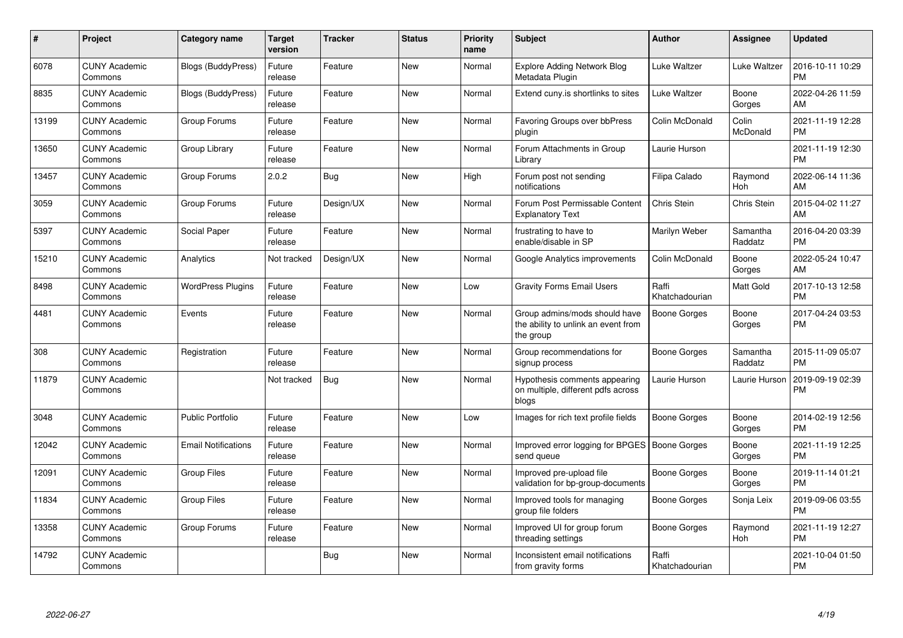| #     | Project                         | <b>Category name</b>       | <b>Target</b><br>version | <b>Tracker</b> | <b>Status</b> | <b>Priority</b><br>name | <b>Subject</b>                                                                    | <b>Author</b>           | <b>Assignee</b>     | <b>Updated</b>                |
|-------|---------------------------------|----------------------------|--------------------------|----------------|---------------|-------------------------|-----------------------------------------------------------------------------------|-------------------------|---------------------|-------------------------------|
| 6078  | <b>CUNY Academic</b><br>Commons | <b>Blogs (BuddyPress)</b>  | Future<br>release        | Feature        | <b>New</b>    | Normal                  | <b>Explore Adding Network Blog</b><br>Metadata Plugin                             | Luke Waltzer            | Luke Waltzer        | 2016-10-11 10:29<br><b>PM</b> |
| 8835  | <b>CUNY Academic</b><br>Commons | <b>Blogs (BuddyPress)</b>  | Future<br>release        | Feature        | New           | Normal                  | Extend cuny is shortlinks to sites                                                | Luke Waltzer            | Boone<br>Gorges     | 2022-04-26 11:59<br>AM        |
| 13199 | <b>CUNY Academic</b><br>Commons | Group Forums               | Future<br>release        | Feature        | <b>New</b>    | Normal                  | Favoring Groups over bbPress<br>plugin                                            | Colin McDonald          | Colin<br>McDonald   | 2021-11-19 12:28<br><b>PM</b> |
| 13650 | <b>CUNY Academic</b><br>Commons | Group Library              | Future<br>release        | Feature        | New           | Normal                  | Forum Attachments in Group<br>Library                                             | Laurie Hurson           |                     | 2021-11-19 12:30<br><b>PM</b> |
| 13457 | <b>CUNY Academic</b><br>Commons | Group Forums               | 2.0.2                    | Bug            | <b>New</b>    | High                    | Forum post not sending<br>notifications                                           | Filipa Calado           | Raymond<br>Hoh      | 2022-06-14 11:36<br>AM        |
| 3059  | <b>CUNY Academic</b><br>Commons | Group Forums               | Future<br>release        | Design/UX      | New           | Normal                  | Forum Post Permissable Content<br><b>Explanatory Text</b>                         | Chris Stein             | Chris Stein         | 2015-04-02 11:27<br>AM        |
| 5397  | <b>CUNY Academic</b><br>Commons | Social Paper               | Future<br>release        | Feature        | <b>New</b>    | Normal                  | frustrating to have to<br>enable/disable in SP                                    | Marilyn Weber           | Samantha<br>Raddatz | 2016-04-20 03:39<br><b>PM</b> |
| 15210 | <b>CUNY Academic</b><br>Commons | Analytics                  | Not tracked              | Design/UX      | <b>New</b>    | Normal                  | Google Analytics improvements                                                     | Colin McDonald          | Boone<br>Gorges     | 2022-05-24 10:47<br>AM        |
| 8498  | <b>CUNY Academic</b><br>Commons | <b>WordPress Plugins</b>   | Future<br>release        | Feature        | <b>New</b>    | Low                     | <b>Gravity Forms Email Users</b>                                                  | Raffi<br>Khatchadourian | Matt Gold           | 2017-10-13 12:58<br><b>PM</b> |
| 4481  | <b>CUNY Academic</b><br>Commons | Events                     | Future<br>release        | Feature        | <b>New</b>    | Normal                  | Group admins/mods should have<br>the ability to unlink an event from<br>the group | Boone Gorges            | Boone<br>Gorges     | 2017-04-24 03:53<br><b>PM</b> |
| 308   | <b>CUNY Academic</b><br>Commons | Registration               | Future<br>release        | Feature        | <b>New</b>    | Normal                  | Group recommendations for<br>signup process                                       | Boone Gorges            | Samantha<br>Raddatz | 2015-11-09 05:07<br><b>PM</b> |
| 11879 | <b>CUNY Academic</b><br>Commons |                            | Not tracked              | Bug            | New           | Normal                  | Hypothesis comments appearing<br>on multiple, different pdfs across<br>blogs      | Laurie Hurson           | Laurie Hurson       | 2019-09-19 02:39<br><b>PM</b> |
| 3048  | <b>CUNY Academic</b><br>Commons | <b>Public Portfolio</b>    | Future<br>release        | Feature        | <b>New</b>    | Low                     | Images for rich text profile fields                                               | Boone Gorges            | Boone<br>Gorges     | 2014-02-19 12:56<br><b>PM</b> |
| 12042 | <b>CUNY Academic</b><br>Commons | <b>Email Notifications</b> | Future<br>release        | Feature        | New           | Normal                  | Improved error logging for BPGES   Boone Gorges<br>send queue                     |                         | Boone<br>Gorges     | 2021-11-19 12:25<br><b>PM</b> |
| 12091 | <b>CUNY Academic</b><br>Commons | <b>Group Files</b>         | Future<br>release        | Feature        | <b>New</b>    | Normal                  | Improved pre-upload file<br>validation for bp-group-documents                     | Boone Gorges            | Boone<br>Gorges     | 2019-11-14 01:21<br><b>PM</b> |
| 11834 | <b>CUNY Academic</b><br>Commons | <b>Group Files</b>         | Future<br>release        | Feature        | <b>New</b>    | Normal                  | Improved tools for managing<br>group file folders                                 | Boone Gorges            | Sonja Leix          | 2019-09-06 03:55<br><b>PM</b> |
| 13358 | <b>CUNY Academic</b><br>Commons | Group Forums               | Future<br>release        | Feature        | New           | Normal                  | Improved UI for group forum<br>threading settings                                 | Boone Gorges            | Raymond<br>Hoh      | 2021-11-19 12:27<br><b>PM</b> |
| 14792 | <b>CUNY Academic</b><br>Commons |                            |                          | Bug            | <b>New</b>    | Normal                  | Inconsistent email notifications<br>from gravity forms                            | Raffi<br>Khatchadourian |                     | 2021-10-04 01:50<br><b>PM</b> |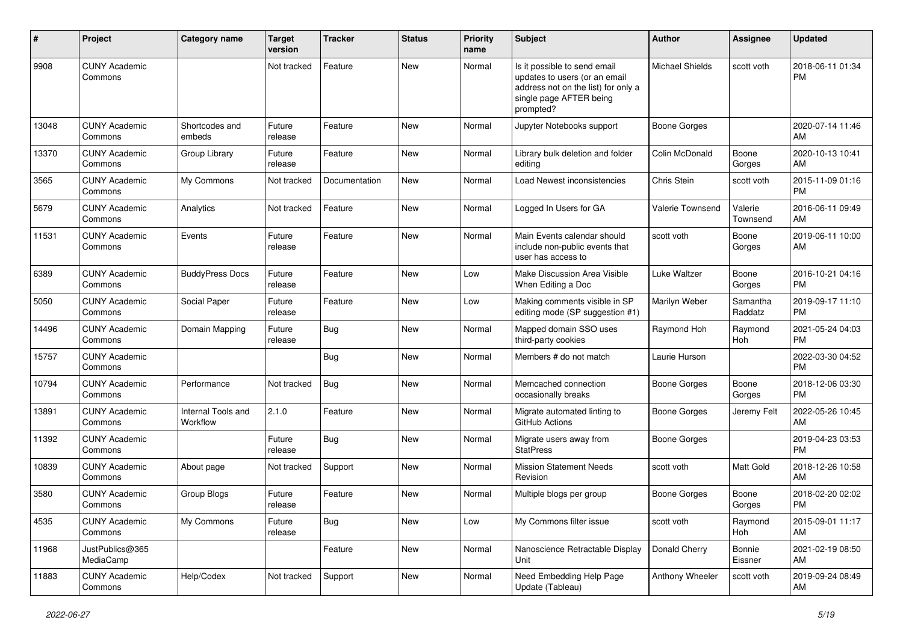| #     | Project                         | <b>Category name</b>           | <b>Target</b><br>version | <b>Tracker</b> | <b>Status</b> | <b>Priority</b><br>name | <b>Subject</b>                                                                                                                               | <b>Author</b>          | <b>Assignee</b>     | <b>Updated</b>                |
|-------|---------------------------------|--------------------------------|--------------------------|----------------|---------------|-------------------------|----------------------------------------------------------------------------------------------------------------------------------------------|------------------------|---------------------|-------------------------------|
| 9908  | <b>CUNY Academic</b><br>Commons |                                | Not tracked              | Feature        | New           | Normal                  | Is it possible to send email<br>updates to users (or an email<br>address not on the list) for only a<br>single page AFTER being<br>prompted? | <b>Michael Shields</b> | scott voth          | 2018-06-11 01:34<br><b>PM</b> |
| 13048 | <b>CUNY Academic</b><br>Commons | Shortcodes and<br>embeds       | Future<br>release        | Feature        | New           | Normal                  | Jupyter Notebooks support                                                                                                                    | Boone Gorges           |                     | 2020-07-14 11:46<br>AM        |
| 13370 | <b>CUNY Academic</b><br>Commons | Group Library                  | Future<br>release        | Feature        | New           | Normal                  | Library bulk deletion and folder<br>editing                                                                                                  | Colin McDonald         | Boone<br>Gorges     | 2020-10-13 10:41<br>AM        |
| 3565  | <b>CUNY Academic</b><br>Commons | My Commons                     | Not tracked              | Documentation  | <b>New</b>    | Normal                  | Load Newest inconsistencies                                                                                                                  | Chris Stein            | scott voth          | 2015-11-09 01:16<br><b>PM</b> |
| 5679  | <b>CUNY Academic</b><br>Commons | Analytics                      | Not tracked              | Feature        | New           | Normal                  | Logged In Users for GA                                                                                                                       | Valerie Townsend       | Valerie<br>Townsend | 2016-06-11 09:49<br>AM        |
| 11531 | <b>CUNY Academic</b><br>Commons | Events                         | Future<br>release        | Feature        | New           | Normal                  | Main Events calendar should<br>include non-public events that<br>user has access to                                                          | scott voth             | Boone<br>Gorges     | 2019-06-11 10:00<br>AM        |
| 6389  | <b>CUNY Academic</b><br>Commons | <b>BuddyPress Docs</b>         | Future<br>release        | Feature        | New           | Low                     | Make Discussion Area Visible<br>When Editing a Doc                                                                                           | Luke Waltzer           | Boone<br>Gorges     | 2016-10-21 04:16<br><b>PM</b> |
| 5050  | <b>CUNY Academic</b><br>Commons | Social Paper                   | Future<br>release        | Feature        | <b>New</b>    | Low                     | Making comments visible in SP<br>editing mode (SP suggestion #1)                                                                             | Marilyn Weber          | Samantha<br>Raddatz | 2019-09-17 11:10<br>PM        |
| 14496 | <b>CUNY Academic</b><br>Commons | Domain Mapping                 | Future<br>release        | <b>Bug</b>     | <b>New</b>    | Normal                  | Mapped domain SSO uses<br>third-party cookies                                                                                                | Raymond Hoh            | Raymond<br>Hoh      | 2021-05-24 04:03<br><b>PM</b> |
| 15757 | <b>CUNY Academic</b><br>Commons |                                |                          | Bug            | New           | Normal                  | Members # do not match                                                                                                                       | Laurie Hurson          |                     | 2022-03-30 04:52<br><b>PM</b> |
| 10794 | <b>CUNY Academic</b><br>Commons | Performance                    | Not tracked              | <b>Bug</b>     | New           | Normal                  | Memcached connection<br>occasionally breaks                                                                                                  | Boone Gorges           | Boone<br>Gorges     | 2018-12-06 03:30<br><b>PM</b> |
| 13891 | <b>CUNY Academic</b><br>Commons | Internal Tools and<br>Workflow | 2.1.0                    | Feature        | New           | Normal                  | Migrate automated linting to<br>GitHub Actions                                                                                               | Boone Gorges           | Jeremy Felt         | 2022-05-26 10:45<br>AM        |
| 11392 | <b>CUNY Academic</b><br>Commons |                                | Future<br>release        | Bug            | New           | Normal                  | Migrate users away from<br><b>StatPress</b>                                                                                                  | Boone Gorges           |                     | 2019-04-23 03:53<br>PM        |
| 10839 | <b>CUNY Academic</b><br>Commons | About page                     | Not tracked              | Support        | New           | Normal                  | <b>Mission Statement Needs</b><br>Revision                                                                                                   | scott voth             | Matt Gold           | 2018-12-26 10:58<br>AM        |
| 3580  | <b>CUNY Academic</b><br>Commons | Group Blogs                    | Future<br>release        | Feature        | <b>New</b>    | Normal                  | Multiple blogs per group                                                                                                                     | Boone Gorges           | Boone<br>Gorges     | 2018-02-20 02:02<br>PM        |
| 4535  | <b>CUNY Academic</b><br>Commons | My Commons                     | Future<br>release        | <b>Bug</b>     | New           | Low                     | My Commons filter issue                                                                                                                      | scott voth             | Raymond<br>Hoh      | 2015-09-01 11:17<br>AM        |
| 11968 | JustPublics@365<br>MediaCamp    |                                |                          | Feature        | New           | Normal                  | Nanoscience Retractable Display<br>  Unit                                                                                                    | Donald Cherry          | Bonnie<br>Eissner   | 2021-02-19 08:50<br>AM        |
| 11883 | <b>CUNY Academic</b><br>Commons | Help/Codex                     | Not tracked              | Support        | New           | Normal                  | Need Embedding Help Page<br>Update (Tableau)                                                                                                 | Anthony Wheeler        | scott voth          | 2019-09-24 08:49<br>AM        |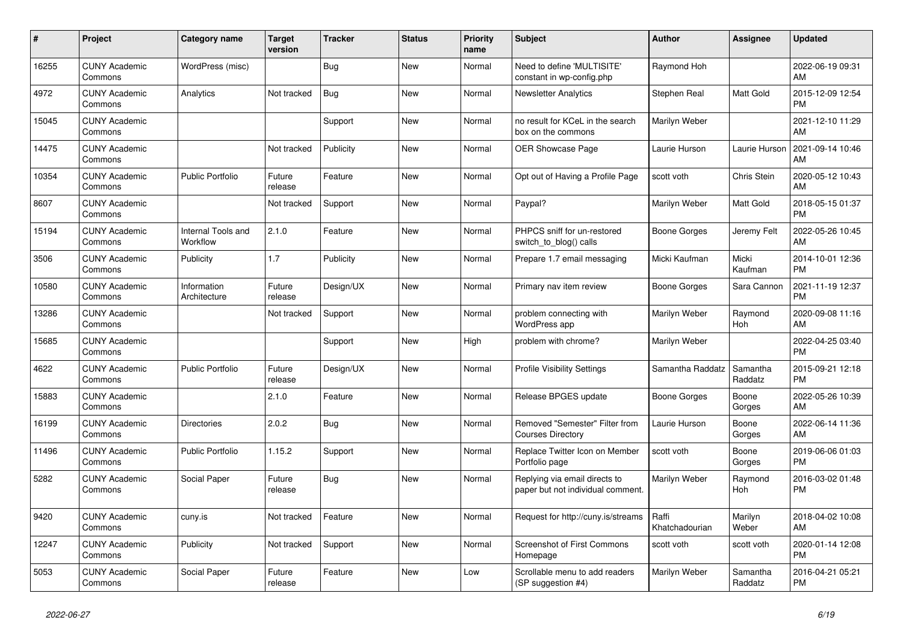| $\pmb{\#}$ | <b>Project</b>                  | <b>Category name</b>           | <b>Target</b><br>version | Tracker    | <b>Status</b> | <b>Priority</b><br>name | <b>Subject</b>                                                     | <b>Author</b>           | Assignee              | <b>Updated</b>                |
|------------|---------------------------------|--------------------------------|--------------------------|------------|---------------|-------------------------|--------------------------------------------------------------------|-------------------------|-----------------------|-------------------------------|
| 16255      | <b>CUNY Academic</b><br>Commons | WordPress (misc)               |                          | <b>Bug</b> | New           | Normal                  | Need to define 'MULTISITE'<br>constant in wp-config.php            | Raymond Hoh             |                       | 2022-06-19 09:31<br>AM        |
| 4972       | <b>CUNY Academic</b><br>Commons | Analytics                      | Not tracked              | <b>Bug</b> | New           | Normal                  | <b>Newsletter Analytics</b>                                        | Stephen Real            | Matt Gold             | 2015-12-09 12:54<br><b>PM</b> |
| 15045      | <b>CUNY Academic</b><br>Commons |                                |                          | Support    | <b>New</b>    | Normal                  | no result for KCeL in the search<br>box on the commons             | Marilyn Weber           |                       | 2021-12-10 11:29<br>AM        |
| 14475      | <b>CUNY Academic</b><br>Commons |                                | Not tracked              | Publicity  | <b>New</b>    | Normal                  | <b>OER Showcase Page</b>                                           | Laurie Hurson           | Laurie Hurson         | 2021-09-14 10:46<br>AM        |
| 10354      | <b>CUNY Academic</b><br>Commons | <b>Public Portfolio</b>        | Future<br>release        | Feature    | New           | Normal                  | Opt out of Having a Profile Page                                   | scott voth              | Chris Stein           | 2020-05-12 10:43<br>AM        |
| 8607       | <b>CUNY Academic</b><br>Commons |                                | Not tracked              | Support    | <b>New</b>    | Normal                  | Paypal?                                                            | Marilyn Weber           | Matt Gold             | 2018-05-15 01:37<br><b>PM</b> |
| 15194      | <b>CUNY Academic</b><br>Commons | Internal Tools and<br>Workflow | 2.1.0                    | Feature    | <b>New</b>    | Normal                  | PHPCS sniff for un-restored<br>switch_to_blog() calls              | Boone Gorges            | Jeremy Felt           | 2022-05-26 10:45<br>AM        |
| 3506       | <b>CUNY Academic</b><br>Commons | Publicity                      | 1.7                      | Publicity  | <b>New</b>    | Normal                  | Prepare 1.7 email messaging                                        | Micki Kaufman           | Micki<br>Kaufman      | 2014-10-01 12:36<br><b>PM</b> |
| 10580      | <b>CUNY Academic</b><br>Commons | Information<br>Architecture    | Future<br>release        | Design/UX  | <b>New</b>    | Normal                  | Primary nav item review                                            | Boone Gorges            | Sara Cannon           | 2021-11-19 12:37<br><b>PM</b> |
| 13286      | <b>CUNY Academic</b><br>Commons |                                | Not tracked              | Support    | <b>New</b>    | Normal                  | problem connecting with<br><b>WordPress app</b>                    | Marilyn Weber           | Raymond<br><b>Hoh</b> | 2020-09-08 11:16<br>AM        |
| 15685      | <b>CUNY Academic</b><br>Commons |                                |                          | Support    | New           | High                    | problem with chrome?                                               | Marilyn Weber           |                       | 2022-04-25 03:40<br><b>PM</b> |
| 4622       | <b>CUNY Academic</b><br>Commons | <b>Public Portfolio</b>        | Future<br>release        | Design/UX  | <b>New</b>    | Normal                  | <b>Profile Visibility Settings</b>                                 | Samantha Raddatz        | Samantha<br>Raddatz   | 2015-09-21 12:18<br><b>PM</b> |
| 15883      | <b>CUNY Academic</b><br>Commons |                                | 2.1.0                    | Feature    | <b>New</b>    | Normal                  | Release BPGES update                                               | <b>Boone Gorges</b>     | Boone<br>Gorges       | 2022-05-26 10:39<br>AM        |
| 16199      | <b>CUNY Academic</b><br>Commons | <b>Directories</b>             | 2.0.2                    | Bug        | <b>New</b>    | Normal                  | Removed "Semester" Filter from<br><b>Courses Directory</b>         | Laurie Hurson           | Boone<br>Gorges       | 2022-06-14 11:36<br>AM        |
| 11496      | <b>CUNY Academic</b><br>Commons | <b>Public Portfolio</b>        | 1.15.2                   | Support    | <b>New</b>    | Normal                  | Replace Twitter Icon on Member<br>Portfolio page                   | scott voth              | Boone<br>Gorges       | 2019-06-06 01:03<br><b>PM</b> |
| 5282       | <b>CUNY Academic</b><br>Commons | Social Paper                   | Future<br>release        | <b>Bug</b> | <b>New</b>    | Normal                  | Replying via email directs to<br>paper but not individual comment. | Marilyn Weber           | Raymond<br>Hoh        | 2016-03-02 01:48<br><b>PM</b> |
| 9420       | <b>CUNY Academic</b><br>Commons | cuny.is                        | Not tracked              | Feature    | <b>New</b>    | Normal                  | Request for http://cuny.is/streams                                 | Raffi<br>Khatchadourian | Marilyn<br>Weber      | 2018-04-02 10:08<br>AM        |
| 12247      | <b>CUNY Academic</b><br>Commons | Publicity                      | Not tracked              | Support    | <b>New</b>    | Normal                  | <b>Screenshot of First Commons</b><br>Homepage                     | scott voth              | scott voth            | 2020-01-14 12:08<br><b>PM</b> |
| 5053       | <b>CUNY Academic</b><br>Commons | Social Paper                   | Future<br>release        | Feature    | <b>New</b>    | Low                     | Scrollable menu to add readers<br>(SP suggestion #4)               | Marilyn Weber           | Samantha<br>Raddatz   | 2016-04-21 05:21<br><b>PM</b> |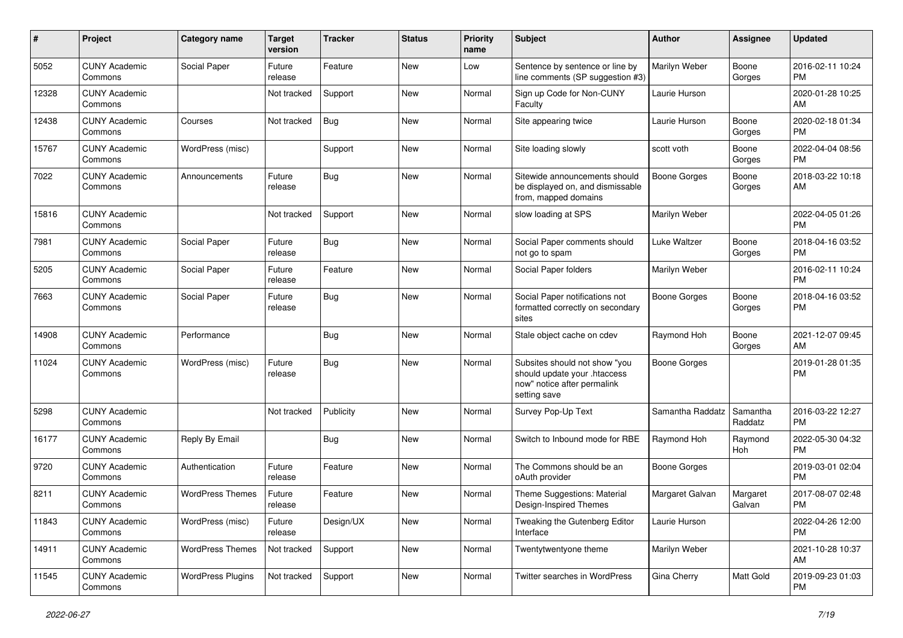| $\#$  | Project                         | <b>Category name</b>     | <b>Target</b><br>version | <b>Tracker</b> | <b>Status</b> | <b>Priority</b><br>name | <b>Subject</b>                                                                                               | Author              | Assignee            | <b>Updated</b>                |
|-------|---------------------------------|--------------------------|--------------------------|----------------|---------------|-------------------------|--------------------------------------------------------------------------------------------------------------|---------------------|---------------------|-------------------------------|
| 5052  | <b>CUNY Academic</b><br>Commons | Social Paper             | Future<br>release        | Feature        | <b>New</b>    | Low                     | Sentence by sentence or line by<br>line comments (SP suggestion #3)                                          | Marilyn Weber       | Boone<br>Gorges     | 2016-02-11 10:24<br>РM        |
| 12328 | <b>CUNY Academic</b><br>Commons |                          | Not tracked              | Support        | New           | Normal                  | Sign up Code for Non-CUNY<br>Faculty                                                                         | Laurie Hurson       |                     | 2020-01-28 10:25<br>AM        |
| 12438 | <b>CUNY Academic</b><br>Commons | Courses                  | Not tracked              | <b>Bug</b>     | New           | Normal                  | Site appearing twice                                                                                         | Laurie Hurson       | Boone<br>Gorges     | 2020-02-18 01:34<br><b>PM</b> |
| 15767 | <b>CUNY Academic</b><br>Commons | WordPress (misc)         |                          | Support        | New           | Normal                  | Site loading slowly                                                                                          | scott voth          | Boone<br>Gorges     | 2022-04-04 08:56<br><b>PM</b> |
| 7022  | <b>CUNY Academic</b><br>Commons | Announcements            | Future<br>release        | <b>Bug</b>     | <b>New</b>    | Normal                  | Sitewide announcements should<br>be displayed on, and dismissable<br>from, mapped domains                    | Boone Gorges        | Boone<br>Gorges     | 2018-03-22 10:18<br>AM        |
| 15816 | <b>CUNY Academic</b><br>Commons |                          | Not tracked              | Support        | New           | Normal                  | slow loading at SPS                                                                                          | Marilyn Weber       |                     | 2022-04-05 01:26<br><b>PM</b> |
| 7981  | <b>CUNY Academic</b><br>Commons | Social Paper             | Future<br>release        | <b>Bug</b>     | New           | Normal                  | Social Paper comments should<br>not go to spam                                                               | Luke Waltzer        | Boone<br>Gorges     | 2018-04-16 03:52<br><b>PM</b> |
| 5205  | <b>CUNY Academic</b><br>Commons | Social Paper             | Future<br>release        | Feature        | New           | Normal                  | Social Paper folders                                                                                         | Marilyn Weber       |                     | 2016-02-11 10:24<br><b>PM</b> |
| 7663  | <b>CUNY Academic</b><br>Commons | Social Paper             | Future<br>release        | <b>Bug</b>     | <b>New</b>    | Normal                  | Social Paper notifications not<br>formatted correctly on secondary<br>sites                                  | <b>Boone Gorges</b> | Boone<br>Gorges     | 2018-04-16 03:52<br><b>PM</b> |
| 14908 | <b>CUNY Academic</b><br>Commons | Performance              |                          | <b>Bug</b>     | <b>New</b>    | Normal                  | Stale object cache on cdev                                                                                   | Raymond Hoh         | Boone<br>Gorges     | 2021-12-07 09:45<br>AM        |
| 11024 | <b>CUNY Academic</b><br>Commons | WordPress (misc)         | Future<br>release        | <b>Bug</b>     | New           | Normal                  | Subsites should not show "you<br>should update your .htaccess<br>now" notice after permalink<br>setting save | <b>Boone Gorges</b> |                     | 2019-01-28 01:35<br><b>PM</b> |
| 5298  | <b>CUNY Academic</b><br>Commons |                          | Not tracked              | Publicity      | <b>New</b>    | Normal                  | Survey Pop-Up Text                                                                                           | Samantha Raddatz    | Samantha<br>Raddatz | 2016-03-22 12:27<br><b>PM</b> |
| 16177 | <b>CUNY Academic</b><br>Commons | Reply By Email           |                          | <b>Bug</b>     | <b>New</b>    | Normal                  | Switch to Inbound mode for RBE                                                                               | Raymond Hoh         | Raymond<br>Hoh      | 2022-05-30 04:32<br><b>PM</b> |
| 9720  | <b>CUNY Academic</b><br>Commons | Authentication           | Future<br>release        | Feature        | New           | Normal                  | The Commons should be an<br>oAuth provider                                                                   | <b>Boone Gorges</b> |                     | 2019-03-01 02:04<br><b>PM</b> |
| 8211  | <b>CUNY Academic</b><br>Commons | <b>WordPress Themes</b>  | Future<br>release        | Feature        | New           | Normal                  | Theme Suggestions: Material<br>Design-Inspired Themes                                                        | Margaret Galvan     | Margaret<br>Galvan  | 2017-08-07 02:48<br>PM        |
| 11843 | <b>CUNY Academic</b><br>Commons | WordPress (misc)         | Future<br>release        | Design/UX      | New           | Normal                  | Tweaking the Gutenberg Editor<br>Interface                                                                   | Laurie Hurson       |                     | 2022-04-26 12:00<br>PM        |
| 14911 | <b>CUNY Academic</b><br>Commons | <b>WordPress Themes</b>  | Not tracked              | Support        | New           | Normal                  | Twentytwentyone theme                                                                                        | Marilyn Weber       |                     | 2021-10-28 10:37<br>AM        |
| 11545 | <b>CUNY Academic</b><br>Commons | <b>WordPress Plugins</b> | Not tracked              | Support        | New           | Normal                  | Twitter searches in WordPress                                                                                | Gina Cherry         | Matt Gold           | 2019-09-23 01:03<br>PM        |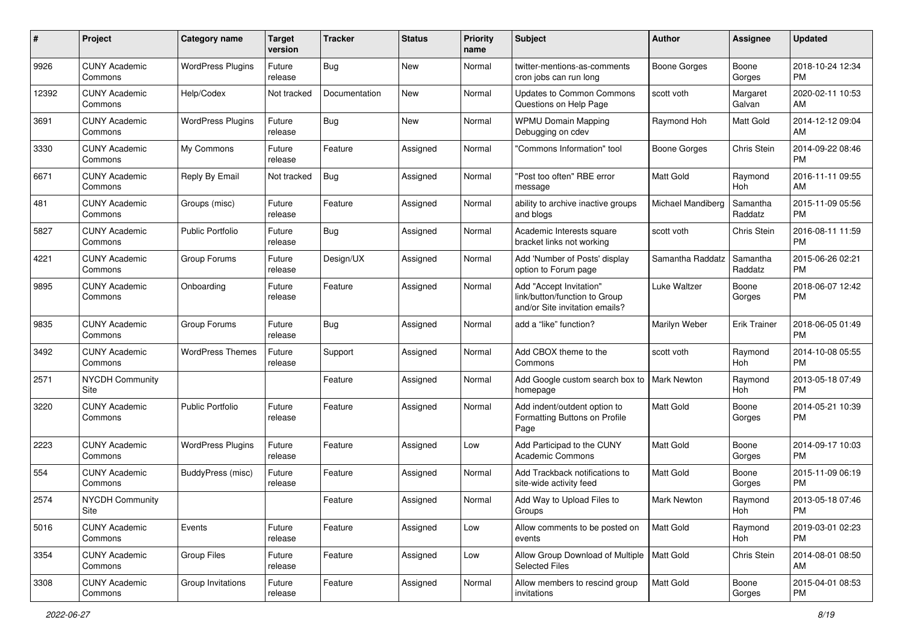| #     | Project                         | <b>Category name</b>     | <b>Target</b><br>version | <b>Tracker</b> | <b>Status</b> | <b>Priority</b><br>name | Subject                                                                                    | Author              | Assignee            | <b>Updated</b>                |
|-------|---------------------------------|--------------------------|--------------------------|----------------|---------------|-------------------------|--------------------------------------------------------------------------------------------|---------------------|---------------------|-------------------------------|
| 9926  | <b>CUNY Academic</b><br>Commons | <b>WordPress Plugins</b> | Future<br>release        | <b>Bug</b>     | <b>New</b>    | Normal                  | twitter-mentions-as-comments<br>cron jobs can run long                                     | <b>Boone Gorges</b> | Boone<br>Gorges     | 2018-10-24 12:34<br><b>PM</b> |
| 12392 | <b>CUNY Academic</b><br>Commons | Help/Codex               | Not tracked              | Documentation  | New           | Normal                  | <b>Updates to Common Commons</b><br>Questions on Help Page                                 | scott voth          | Margaret<br>Galvan  | 2020-02-11 10:53<br>AM        |
| 3691  | <b>CUNY Academic</b><br>Commons | <b>WordPress Plugins</b> | Future<br>release        | <b>Bug</b>     | New           | Normal                  | <b>WPMU Domain Mapping</b><br>Debugging on cdev                                            | Raymond Hoh         | Matt Gold           | 2014-12-12 09:04<br>AM        |
| 3330  | <b>CUNY Academic</b><br>Commons | My Commons               | Future<br>release        | Feature        | Assigned      | Normal                  | 'Commons Information" tool                                                                 | Boone Gorges        | Chris Stein         | 2014-09-22 08:46<br><b>PM</b> |
| 6671  | <b>CUNY Academic</b><br>Commons | Reply By Email           | Not tracked              | <b>Bug</b>     | Assigned      | Normal                  | "Post too often" RBE error<br>message                                                      | <b>Matt Gold</b>    | Raymond<br>Hoh      | 2016-11-11 09:55<br>AM        |
| 481   | <b>CUNY Academic</b><br>Commons | Groups (misc)            | Future<br>release        | Feature        | Assigned      | Normal                  | ability to archive inactive groups<br>and blogs                                            | Michael Mandiberg   | Samantha<br>Raddatz | 2015-11-09 05:56<br><b>PM</b> |
| 5827  | <b>CUNY Academic</b><br>Commons | <b>Public Portfolio</b>  | Future<br>release        | Bug            | Assigned      | Normal                  | Academic Interests square<br>bracket links not working                                     | scott voth          | Chris Stein         | 2016-08-11 11:59<br><b>PM</b> |
| 4221  | <b>CUNY Academic</b><br>Commons | Group Forums             | Future<br>release        | Design/UX      | Assigned      | Normal                  | Add 'Number of Posts' display<br>option to Forum page                                      | Samantha Raddatz    | Samantha<br>Raddatz | 2015-06-26 02:21<br><b>PM</b> |
| 9895  | <b>CUNY Academic</b><br>Commons | Onboarding               | Future<br>release        | Feature        | Assigned      | Normal                  | Add "Accept Invitation"<br>link/button/function to Group<br>and/or Site invitation emails? | Luke Waltzer        | Boone<br>Gorges     | 2018-06-07 12:42<br><b>PM</b> |
| 9835  | <b>CUNY Academic</b><br>Commons | Group Forums             | Future<br>release        | <b>Bug</b>     | Assigned      | Normal                  | add a "like" function?                                                                     | Marilyn Weber       | <b>Erik Trainer</b> | 2018-06-05 01:49<br><b>PM</b> |
| 3492  | <b>CUNY Academic</b><br>Commons | <b>WordPress Themes</b>  | Future<br>release        | Support        | Assigned      | Normal                  | Add CBOX theme to the<br>Commons                                                           | scott voth          | Raymond<br>Hoh      | 2014-10-08 05:55<br>PM        |
| 2571  | <b>NYCDH Community</b><br>Site  |                          |                          | Feature        | Assigned      | Normal                  | Add Google custom search box to<br>homepage                                                | <b>Mark Newton</b>  | Raymond<br>Hoh      | 2013-05-18 07:49<br><b>PM</b> |
| 3220  | <b>CUNY Academic</b><br>Commons | <b>Public Portfolio</b>  | Future<br>release        | Feature        | Assigned      | Normal                  | Add indent/outdent option to<br>Formatting Buttons on Profile<br>Page                      | <b>Matt Gold</b>    | Boone<br>Gorges     | 2014-05-21 10:39<br><b>PM</b> |
| 2223  | <b>CUNY Academic</b><br>Commons | <b>WordPress Plugins</b> | Future<br>release        | Feature        | Assigned      | Low                     | Add Participad to the CUNY<br><b>Academic Commons</b>                                      | Matt Gold           | Boone<br>Gorges     | 2014-09-17 10:03<br><b>PM</b> |
| 554   | <b>CUNY Academic</b><br>Commons | BuddyPress (misc)        | Future<br>release        | Feature        | Assigned      | Normal                  | Add Trackback notifications to<br>site-wide activity feed                                  | Matt Gold           | Boone<br>Gorges     | 2015-11-09 06:19<br><b>PM</b> |
| 2574  | <b>NYCDH Community</b><br>Site  |                          |                          | Feature        | Assigned      | Normal                  | Add Way to Upload Files to<br>Groups                                                       | <b>Mark Newton</b>  | Raymond<br>Hoh      | 2013-05-18 07:46<br>PM        |
| 5016  | <b>CUNY Academic</b><br>Commons | Events                   | Future<br>release        | Feature        | Assigned      | Low                     | Allow comments to be posted on<br>events                                                   | Matt Gold           | Raymond<br>Hoh      | 2019-03-01 02:23<br><b>PM</b> |
| 3354  | <b>CUNY Academic</b><br>Commons | Group Files              | Future<br>release        | Feature        | Assigned      | Low                     | Allow Group Download of Multiple   Matt Gold<br><b>Selected Files</b>                      |                     | Chris Stein         | 2014-08-01 08:50<br>AM        |
| 3308  | <b>CUNY Academic</b><br>Commons | Group Invitations        | Future<br>release        | Feature        | Assigned      | Normal                  | Allow members to rescind group<br>invitations                                              | Matt Gold           | Boone<br>Gorges     | 2015-04-01 08:53<br>PM        |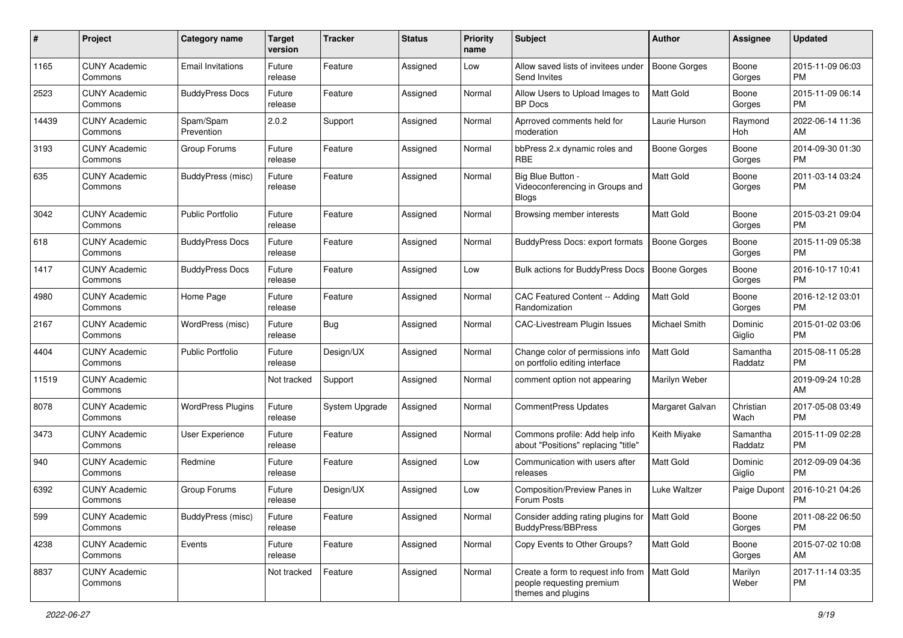| #     | Project                         | <b>Category name</b>     | <b>Target</b><br>version | <b>Tracker</b>        | <b>Status</b> | <b>Priority</b><br>name | Subject                                                                               | Author              | <b>Assignee</b>     | <b>Updated</b>                |
|-------|---------------------------------|--------------------------|--------------------------|-----------------------|---------------|-------------------------|---------------------------------------------------------------------------------------|---------------------|---------------------|-------------------------------|
| 1165  | <b>CUNY Academic</b><br>Commons | <b>Email Invitations</b> | Future<br>release        | Feature               | Assigned      | Low                     | Allow saved lists of invitees under<br>Send Invites                                   | <b>Boone Gorges</b> | Boone<br>Gorges     | 2015-11-09 06:03<br><b>PM</b> |
| 2523  | <b>CUNY Academic</b><br>Commons | <b>BuddyPress Docs</b>   | Future<br>release        | Feature               | Assigned      | Normal                  | Allow Users to Upload Images to<br><b>BP</b> Docs                                     | Matt Gold           | Boone<br>Gorges     | 2015-11-09 06:14<br><b>PM</b> |
| 14439 | <b>CUNY Academic</b><br>Commons | Spam/Spam<br>Prevention  | 2.0.2                    | Support               | Assigned      | Normal                  | Aprroved comments held for<br>moderation                                              | Laurie Hurson       | Raymond<br>Hoh      | 2022-06-14 11:36<br>AM        |
| 3193  | <b>CUNY Academic</b><br>Commons | Group Forums             | Future<br>release        | Feature               | Assigned      | Normal                  | bbPress 2.x dynamic roles and<br><b>RBE</b>                                           | <b>Boone Gorges</b> | Boone<br>Gorges     | 2014-09-30 01:30<br><b>PM</b> |
| 635   | <b>CUNY Academic</b><br>Commons | BuddyPress (misc)        | Future<br>release        | Feature               | Assigned      | Normal                  | Big Blue Button -<br>Videoconferencing in Groups and<br><b>Blogs</b>                  | Matt Gold           | Boone<br>Gorges     | 2011-03-14 03:24<br><b>PM</b> |
| 3042  | <b>CUNY Academic</b><br>Commons | <b>Public Portfolio</b>  | Future<br>release        | Feature               | Assigned      | Normal                  | Browsing member interests                                                             | <b>Matt Gold</b>    | Boone<br>Gorges     | 2015-03-21 09:04<br><b>PM</b> |
| 618   | <b>CUNY Academic</b><br>Commons | <b>BuddyPress Docs</b>   | Future<br>release        | Feature               | Assigned      | Normal                  | <b>BuddyPress Docs: export formats</b>                                                | <b>Boone Gorges</b> | Boone<br>Gorges     | 2015-11-09 05:38<br><b>PM</b> |
| 1417  | <b>CUNY Academic</b><br>Commons | <b>BuddyPress Docs</b>   | Future<br>release        | Feature               | Assigned      | Low                     | <b>Bulk actions for BuddyPress Docs</b>                                               | <b>Boone Gorges</b> | Boone<br>Gorges     | 2016-10-17 10:41<br><b>PM</b> |
| 4980  | <b>CUNY Academic</b><br>Commons | Home Page                | Future<br>release        | Feature               | Assigned      | Normal                  | CAC Featured Content -- Adding<br>Randomization                                       | Matt Gold           | Boone<br>Gorges     | 2016-12-12 03:01<br>PM        |
| 2167  | <b>CUNY Academic</b><br>Commons | WordPress (misc)         | Future<br>release        | <b>Bug</b>            | Assigned      | Normal                  | CAC-Livestream Plugin Issues                                                          | Michael Smith       | Dominic<br>Giglio   | 2015-01-02 03:06<br><b>PM</b> |
| 4404  | <b>CUNY Academic</b><br>Commons | <b>Public Portfolio</b>  | Future<br>release        | Design/UX             | Assigned      | Normal                  | Change color of permissions info<br>on portfolio editing interface                    | <b>Matt Gold</b>    | Samantha<br>Raddatz | 2015-08-11 05:28<br><b>PM</b> |
| 11519 | <b>CUNY Academic</b><br>Commons |                          | Not tracked              | Support               | Assigned      | Normal                  | comment option not appearing                                                          | Marilyn Weber       |                     | 2019-09-24 10:28<br>AM        |
| 8078  | <b>CUNY Academic</b><br>Commons | <b>WordPress Plugins</b> | Future<br>release        | <b>System Upgrade</b> | Assigned      | Normal                  | CommentPress Updates                                                                  | Margaret Galvan     | Christian<br>Wach   | 2017-05-08 03:49<br><b>PM</b> |
| 3473  | <b>CUNY Academic</b><br>Commons | User Experience          | Future<br>release        | Feature               | Assigned      | Normal                  | Commons profile: Add help info<br>about "Positions" replacing "title"                 | Keith Miyake        | Samantha<br>Raddatz | 2015-11-09 02:28<br><b>PM</b> |
| 940   | <b>CUNY Academic</b><br>Commons | Redmine                  | Future<br>release        | Feature               | Assigned      | Low                     | Communication with users after<br>releases                                            | Matt Gold           | Dominic<br>Giglio   | 2012-09-09 04:36<br><b>PM</b> |
| 6392  | <b>CUNY Academic</b><br>Commons | Group Forums             | Future<br>release        | Design/UX             | Assigned      | Low                     | Composition/Preview Panes in<br>Forum Posts                                           | Luke Waltzer        | Paige Dupont        | 2016-10-21 04:26<br><b>PM</b> |
| 599   | <b>CUNY Academic</b><br>Commons | BuddyPress (misc)        | Future<br>release        | Feature               | Assigned      | Normal                  | Consider adding rating plugins for   Matt Gold<br><b>BuddyPress/BBPress</b>           |                     | Boone<br>Gorges     | 2011-08-22 06:50<br><b>PM</b> |
| 4238  | <b>CUNY Academic</b><br>Commons | Events                   | Future<br>release        | Feature               | Assigned      | Normal                  | Copy Events to Other Groups?                                                          | Matt Gold           | Boone<br>Gorges     | 2015-07-02 10:08<br>AM        |
| 8837  | <b>CUNY Academic</b><br>Commons |                          | Not tracked              | Feature               | Assigned      | Normal                  | Create a form to request info from<br>people requesting premium<br>themes and plugins | Matt Gold           | Marilyn<br>Weber    | 2017-11-14 03:35<br>PM        |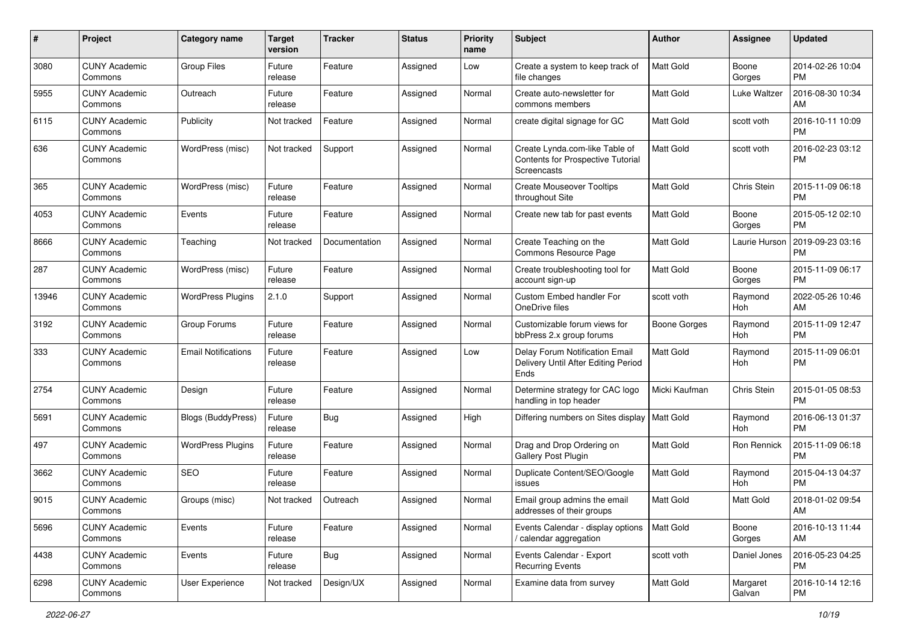| #     | Project                         | <b>Category name</b>       | <b>Target</b><br>version | <b>Tracker</b> | <b>Status</b> | <b>Priority</b><br>name | Subject                                                                                   | Author              | Assignee           | <b>Updated</b>                |
|-------|---------------------------------|----------------------------|--------------------------|----------------|---------------|-------------------------|-------------------------------------------------------------------------------------------|---------------------|--------------------|-------------------------------|
| 3080  | <b>CUNY Academic</b><br>Commons | Group Files                | Future<br>release        | Feature        | Assigned      | Low                     | Create a system to keep track of<br>file changes                                          | <b>Matt Gold</b>    | Boone<br>Gorges    | 2014-02-26 10:04<br><b>PM</b> |
| 5955  | <b>CUNY Academic</b><br>Commons | Outreach                   | Future<br>release        | Feature        | Assigned      | Normal                  | Create auto-newsletter for<br>commons members                                             | <b>Matt Gold</b>    | Luke Waltzer       | 2016-08-30 10:34<br>AM        |
| 6115  | <b>CUNY Academic</b><br>Commons | Publicity                  | Not tracked              | Feature        | Assigned      | Normal                  | create digital signage for GC                                                             | Matt Gold           | scott voth         | 2016-10-11 10:09<br>PM        |
| 636   | <b>CUNY Academic</b><br>Commons | WordPress (misc)           | Not tracked              | Support        | Assigned      | Normal                  | Create Lynda.com-like Table of<br><b>Contents for Prospective Tutorial</b><br>Screencasts | <b>Matt Gold</b>    | scott voth         | 2016-02-23 03:12<br><b>PM</b> |
| 365   | <b>CUNY Academic</b><br>Commons | WordPress (misc)           | Future<br>release        | Feature        | Assigned      | Normal                  | <b>Create Mouseover Tooltips</b><br>throughout Site                                       | <b>Matt Gold</b>    | Chris Stein        | 2015-11-09 06:18<br><b>PM</b> |
| 4053  | <b>CUNY Academic</b><br>Commons | Events                     | Future<br>release        | Feature        | Assigned      | Normal                  | Create new tab for past events                                                            | <b>Matt Gold</b>    | Boone<br>Gorges    | 2015-05-12 02:10<br><b>PM</b> |
| 8666  | <b>CUNY Academic</b><br>Commons | Teaching                   | Not tracked              | Documentation  | Assigned      | Normal                  | Create Teaching on the<br>Commons Resource Page                                           | <b>Matt Gold</b>    | Laurie Hurson      | 2019-09-23 03:16<br><b>PM</b> |
| 287   | <b>CUNY Academic</b><br>Commons | WordPress (misc)           | Future<br>release        | Feature        | Assigned      | Normal                  | Create troubleshooting tool for<br>account sign-up                                        | Matt Gold           | Boone<br>Gorges    | 2015-11-09 06:17<br><b>PM</b> |
| 13946 | <b>CUNY Academic</b><br>Commons | <b>WordPress Plugins</b>   | 2.1.0                    | Support        | Assigned      | Normal                  | Custom Embed handler For<br>OneDrive files                                                | scott voth          | Raymond<br>Hoh     | 2022-05-26 10:46<br>AM        |
| 3192  | <b>CUNY Academic</b><br>Commons | Group Forums               | Future<br>release        | Feature        | Assigned      | Normal                  | Customizable forum views for<br>bbPress 2.x group forums                                  | <b>Boone Gorges</b> | Raymond<br>Hoh     | 2015-11-09 12:47<br><b>PM</b> |
| 333   | <b>CUNY Academic</b><br>Commons | <b>Email Notifications</b> | Future<br>release        | Feature        | Assigned      | Low                     | Delay Forum Notification Email<br>Delivery Until After Editing Period<br>Ends             | Matt Gold           | Raymond<br>Hoh     | 2015-11-09 06:01<br><b>PM</b> |
| 2754  | <b>CUNY Academic</b><br>Commons | Design                     | Future<br>release        | Feature        | Assigned      | Normal                  | Determine strategy for CAC logo<br>handling in top header                                 | Micki Kaufman       | Chris Stein        | 2015-01-05 08:53<br><b>PM</b> |
| 5691  | <b>CUNY Academic</b><br>Commons | Blogs (BuddyPress)         | Future<br>release        | Bug            | Assigned      | High                    | Differing numbers on Sites display                                                        | <b>Matt Gold</b>    | Raymond<br>Hoh     | 2016-06-13 01:37<br><b>PM</b> |
| 497   | <b>CUNY Academic</b><br>Commons | <b>WordPress Plugins</b>   | Future<br>release        | Feature        | Assigned      | Normal                  | Drag and Drop Ordering on<br>Gallery Post Plugin                                          | <b>Matt Gold</b>    | Ron Rennick        | 2015-11-09 06:18<br><b>PM</b> |
| 3662  | <b>CUNY Academic</b><br>Commons | <b>SEO</b>                 | Future<br>release        | Feature        | Assigned      | Normal                  | Duplicate Content/SEO/Google<br>issues                                                    | <b>Matt Gold</b>    | Raymond<br>Hoh     | 2015-04-13 04:37<br><b>PM</b> |
| 9015  | <b>CUNY Academic</b><br>Commons | Groups (misc)              | Not tracked              | Outreach       | Assigned      | Normal                  | Email group admins the email<br>addresses of their groups                                 | Matt Gold           | Matt Gold          | 2018-01-02 09:54<br>AM        |
| 5696  | <b>CUNY Academic</b><br>Commons | Events                     | Future<br>release        | Feature        | Assigned      | Normal                  | Events Calendar - display options<br>/ calendar aggregation                               | <b>Matt Gold</b>    | Boone<br>Gorges    | 2016-10-13 11:44<br>AM        |
| 4438  | <b>CUNY Academic</b><br>Commons | Events                     | Future<br>release        | <b>Bug</b>     | Assigned      | Normal                  | Events Calendar - Export<br><b>Recurring Events</b>                                       | scott voth          | Daniel Jones       | 2016-05-23 04:25<br>PM        |
| 6298  | <b>CUNY Academic</b><br>Commons | User Experience            | Not tracked              | Design/UX      | Assigned      | Normal                  | Examine data from survey                                                                  | Matt Gold           | Margaret<br>Galvan | 2016-10-14 12:16<br><b>PM</b> |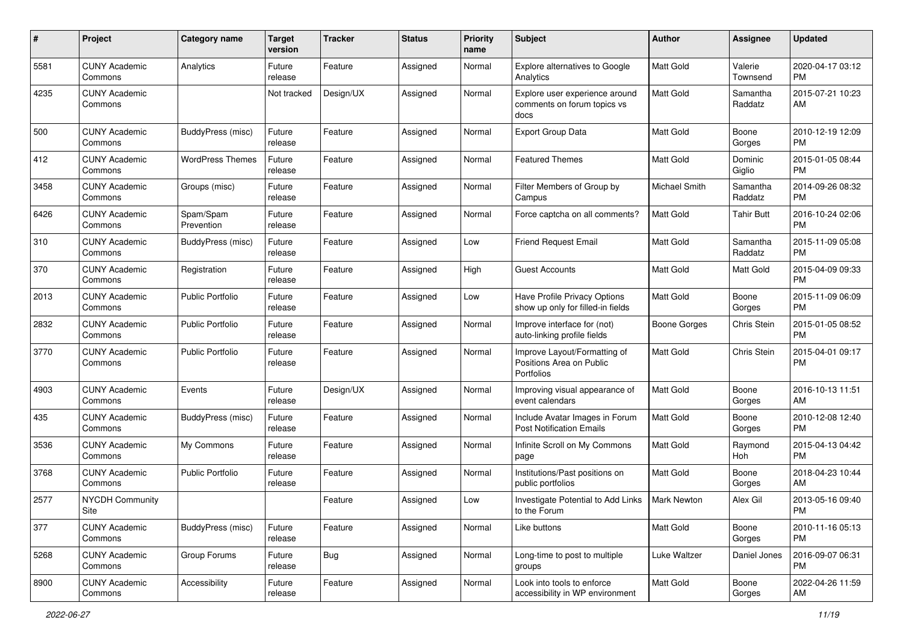| #    | Project                         | <b>Category name</b>    | <b>Target</b><br>version | <b>Tracker</b> | <b>Status</b> | <b>Priority</b><br>name | <b>Subject</b>                                                         | Author              | Assignee            | <b>Updated</b>                |
|------|---------------------------------|-------------------------|--------------------------|----------------|---------------|-------------------------|------------------------------------------------------------------------|---------------------|---------------------|-------------------------------|
| 5581 | <b>CUNY Academic</b><br>Commons | Analytics               | Future<br>release        | Feature        | Assigned      | Normal                  | Explore alternatives to Google<br>Analytics                            | <b>Matt Gold</b>    | Valerie<br>Townsend | 2020-04-17 03:12<br>РM        |
| 4235 | <b>CUNY Academic</b><br>Commons |                         | Not tracked              | Design/UX      | Assigned      | Normal                  | Explore user experience around<br>comments on forum topics vs<br>docs  | Matt Gold           | Samantha<br>Raddatz | 2015-07-21 10:23<br>AM        |
| 500  | <b>CUNY Academic</b><br>Commons | BuddyPress (misc)       | Future<br>release        | Feature        | Assigned      | Normal                  | Export Group Data                                                      | Matt Gold           | Boone<br>Gorges     | 2010-12-19 12:09<br><b>PM</b> |
| 412  | <b>CUNY Academic</b><br>Commons | <b>WordPress Themes</b> | Future<br>release        | Feature        | Assigned      | Normal                  | <b>Featured Themes</b>                                                 | <b>Matt Gold</b>    | Dominic<br>Giglio   | 2015-01-05 08:44<br><b>PM</b> |
| 3458 | <b>CUNY Academic</b><br>Commons | Groups (misc)           | Future<br>release        | Feature        | Assigned      | Normal                  | Filter Members of Group by<br>Campus                                   | Michael Smith       | Samantha<br>Raddatz | 2014-09-26 08:32<br><b>PM</b> |
| 6426 | <b>CUNY Academic</b><br>Commons | Spam/Spam<br>Prevention | Future<br>release        | Feature        | Assigned      | Normal                  | Force captcha on all comments?                                         | <b>Matt Gold</b>    | Tahir Butt          | 2016-10-24 02:06<br><b>PM</b> |
| 310  | <b>CUNY Academic</b><br>Commons | BuddyPress (misc)       | Future<br>release        | Feature        | Assigned      | Low                     | <b>Friend Request Email</b>                                            | Matt Gold           | Samantha<br>Raddatz | 2015-11-09 05:08<br><b>PM</b> |
| 370  | <b>CUNY Academic</b><br>Commons | Registration            | Future<br>release        | Feature        | Assigned      | High                    | Guest Accounts                                                         | Matt Gold           | Matt Gold           | 2015-04-09 09:33<br><b>PM</b> |
| 2013 | <b>CUNY Academic</b><br>Commons | <b>Public Portfolio</b> | Future<br>release        | Feature        | Assigned      | Low                     | Have Profile Privacy Options<br>show up only for filled-in fields      | Matt Gold           | Boone<br>Gorges     | 2015-11-09 06:09<br><b>PM</b> |
| 2832 | <b>CUNY Academic</b><br>Commons | <b>Public Portfolio</b> | Future<br>release        | Feature        | Assigned      | Normal                  | Improve interface for (not)<br>auto-linking profile fields             | <b>Boone Gorges</b> | Chris Stein         | 2015-01-05 08:52<br><b>PM</b> |
| 3770 | <b>CUNY Academic</b><br>Commons | <b>Public Portfolio</b> | Future<br>release        | Feature        | Assigned      | Normal                  | Improve Layout/Formatting of<br>Positions Area on Public<br>Portfolios | <b>Matt Gold</b>    | Chris Stein         | 2015-04-01 09:17<br><b>PM</b> |
| 4903 | <b>CUNY Academic</b><br>Commons | Events                  | Future<br>release        | Design/UX      | Assigned      | Normal                  | Improving visual appearance of<br>event calendars                      | <b>Matt Gold</b>    | Boone<br>Gorges     | 2016-10-13 11:51<br>AM        |
| 435  | <b>CUNY Academic</b><br>Commons | BuddyPress (misc)       | Future<br>release        | Feature        | Assigned      | Normal                  | Include Avatar Images in Forum<br><b>Post Notification Emails</b>      | <b>Matt Gold</b>    | Boone<br>Gorges     | 2010-12-08 12:40<br><b>PM</b> |
| 3536 | <b>CUNY Academic</b><br>Commons | My Commons              | Future<br>release        | Feature        | Assigned      | Normal                  | Infinite Scroll on My Commons<br>page                                  | Matt Gold           | Raymond<br>Hoh      | 2015-04-13 04:42<br><b>PM</b> |
| 3768 | <b>CUNY Academic</b><br>Commons | <b>Public Portfolio</b> | Future<br>release        | Feature        | Assigned      | Normal                  | Institutions/Past positions on<br>public portfolios                    | Matt Gold           | Boone<br>Gorges     | 2018-04-23 10:44<br>AM        |
| 2577 | <b>NYCDH Community</b><br>Site  |                         |                          | Feature        | Assigned      | Low                     | Investigate Potential to Add Links<br>to the Forum                     | <b>Mark Newton</b>  | Alex Gil            | 2013-05-16 09:40<br>PM        |
| 377  | <b>CUNY Academic</b><br>Commons | BuddyPress (misc)       | Future<br>release        | Feature        | Assigned      | Normal                  | Like buttons                                                           | Matt Gold           | Boone<br>Gorges     | 2010-11-16 05:13<br><b>PM</b> |
| 5268 | <b>CUNY Academic</b><br>Commons | Group Forums            | Future<br>release        | <b>Bug</b>     | Assigned      | Normal                  | Long-time to post to multiple<br>groups                                | Luke Waltzer        | Daniel Jones        | 2016-09-07 06:31<br>PM        |
| 8900 | <b>CUNY Academic</b><br>Commons | Accessibility           | Future<br>release        | Feature        | Assigned      | Normal                  | Look into tools to enforce<br>accessibility in WP environment          | Matt Gold           | Boone<br>Gorges     | 2022-04-26 11:59<br>AM        |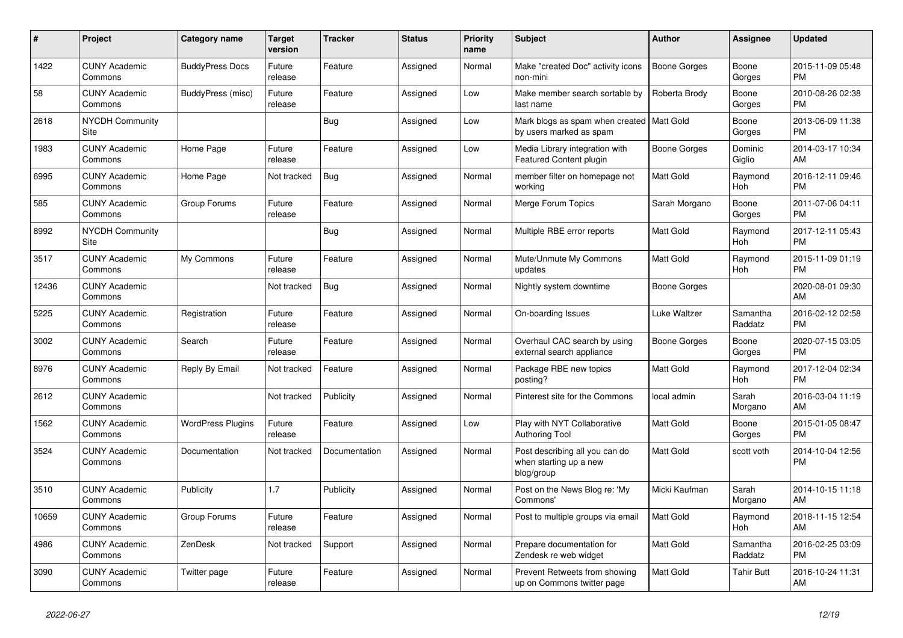| $\pmb{\#}$ | Project                         | Category name            | <b>Target</b><br>version | <b>Tracker</b> | <b>Status</b> | <b>Priority</b><br>name | <b>Subject</b>                                                         | <b>Author</b>       | <b>Assignee</b>       | <b>Updated</b>                |
|------------|---------------------------------|--------------------------|--------------------------|----------------|---------------|-------------------------|------------------------------------------------------------------------|---------------------|-----------------------|-------------------------------|
| 1422       | <b>CUNY Academic</b><br>Commons | <b>BuddyPress Docs</b>   | Future<br>release        | Feature        | Assigned      | Normal                  | Make "created Doc" activity icons<br>non-mini                          | <b>Boone Gorges</b> | Boone<br>Gorges       | 2015-11-09 05:48<br><b>PM</b> |
| 58         | <b>CUNY Academic</b><br>Commons | BuddyPress (misc)        | Future<br>release        | Feature        | Assigned      | Low                     | Make member search sortable by<br>last name                            | Roberta Brody       | Boone<br>Gorges       | 2010-08-26 02:38<br><b>PM</b> |
| 2618       | <b>NYCDH Community</b><br>Site  |                          |                          | <b>Bug</b>     | Assigned      | Low                     | Mark blogs as spam when created   Matt Gold<br>by users marked as spam |                     | Boone<br>Gorges       | 2013-06-09 11:38<br><b>PM</b> |
| 1983       | <b>CUNY Academic</b><br>Commons | Home Page                | Future<br>release        | Feature        | Assigned      | Low                     | Media Library integration with<br>Featured Content plugin              | Boone Gorges        | Dominic<br>Giglio     | 2014-03-17 10:34<br>AM        |
| 6995       | <b>CUNY Academic</b><br>Commons | Home Page                | Not tracked              | Bug            | Assigned      | Normal                  | member filter on homepage not<br>working                               | Matt Gold           | Raymond<br>Hoh        | 2016-12-11 09:46<br><b>PM</b> |
| 585        | <b>CUNY Academic</b><br>Commons | Group Forums             | Future<br>release        | Feature        | Assigned      | Normal                  | Merge Forum Topics                                                     | Sarah Morgano       | Boone<br>Gorges       | 2011-07-06 04:11<br><b>PM</b> |
| 8992       | <b>NYCDH Community</b><br>Site  |                          |                          | <b>Bug</b>     | Assigned      | Normal                  | Multiple RBE error reports                                             | <b>Matt Gold</b>    | Raymond<br><b>Hoh</b> | 2017-12-11 05:43<br><b>PM</b> |
| 3517       | <b>CUNY Academic</b><br>Commons | My Commons               | Future<br>release        | Feature        | Assigned      | Normal                  | Mute/Unmute My Commons<br>updates                                      | <b>Matt Gold</b>    | Raymond<br>Hoh        | 2015-11-09 01:19<br><b>PM</b> |
| 12436      | <b>CUNY Academic</b><br>Commons |                          | Not tracked              | <b>Bug</b>     | Assigned      | Normal                  | Nightly system downtime                                                | Boone Gorges        |                       | 2020-08-01 09:30<br>AM        |
| 5225       | <b>CUNY Academic</b><br>Commons | Registration             | Future<br>release        | Feature        | Assigned      | Normal                  | On-boarding Issues                                                     | Luke Waltzer        | Samantha<br>Raddatz   | 2016-02-12 02:58<br><b>PM</b> |
| 3002       | <b>CUNY Academic</b><br>Commons | Search                   | Future<br>release        | Feature        | Assigned      | Normal                  | Overhaul CAC search by using<br>external search appliance              | Boone Gorges        | Boone<br>Gorges       | 2020-07-15 03:05<br><b>PM</b> |
| 8976       | <b>CUNY Academic</b><br>Commons | Reply By Email           | Not tracked              | Feature        | Assigned      | Normal                  | Package RBE new topics<br>posting?                                     | Matt Gold           | Raymond<br>Hoh        | 2017-12-04 02:34<br><b>PM</b> |
| 2612       | <b>CUNY Academic</b><br>Commons |                          | Not tracked              | Publicity      | Assigned      | Normal                  | Pinterest site for the Commons                                         | local admin         | Sarah<br>Morgano      | 2016-03-04 11:19<br>AM        |
| 1562       | <b>CUNY Academic</b><br>Commons | <b>WordPress Plugins</b> | Future<br>release        | Feature        | Assigned      | Low                     | Play with NYT Collaborative<br><b>Authoring Tool</b>                   | Matt Gold           | Boone<br>Gorges       | 2015-01-05 08:47<br><b>PM</b> |
| 3524       | <b>CUNY Academic</b><br>Commons | Documentation            | Not tracked              | Documentation  | Assigned      | Normal                  | Post describing all you can do<br>when starting up a new<br>blog/group | <b>Matt Gold</b>    | scott voth            | 2014-10-04 12:56<br><b>PM</b> |
| 3510       | <b>CUNY Academic</b><br>Commons | Publicity                | 1.7                      | Publicity      | Assigned      | Normal                  | Post on the News Blog re: 'My<br>Commons'                              | Micki Kaufman       | Sarah<br>Morgano      | 2014-10-15 11:18<br>AM        |
| 10659      | <b>CUNY Academic</b><br>Commons | Group Forums             | Future<br>release        | Feature        | Assigned      | Normal                  | Post to multiple groups via email                                      | <b>Matt Gold</b>    | Raymond<br><b>Hoh</b> | 2018-11-15 12:54<br>AM        |
| 4986       | <b>CUNY Academic</b><br>Commons | ZenDesk                  | Not tracked              | Support        | Assigned      | Normal                  | Prepare documentation for<br>Zendesk re web widget                     | <b>Matt Gold</b>    | Samantha<br>Raddatz   | 2016-02-25 03:09<br><b>PM</b> |
| 3090       | <b>CUNY Academic</b><br>Commons | Twitter page             | Future<br>release        | Feature        | Assigned      | Normal                  | Prevent Retweets from showing<br>up on Commons twitter page            | Matt Gold           | <b>Tahir Butt</b>     | 2016-10-24 11:31<br>AM        |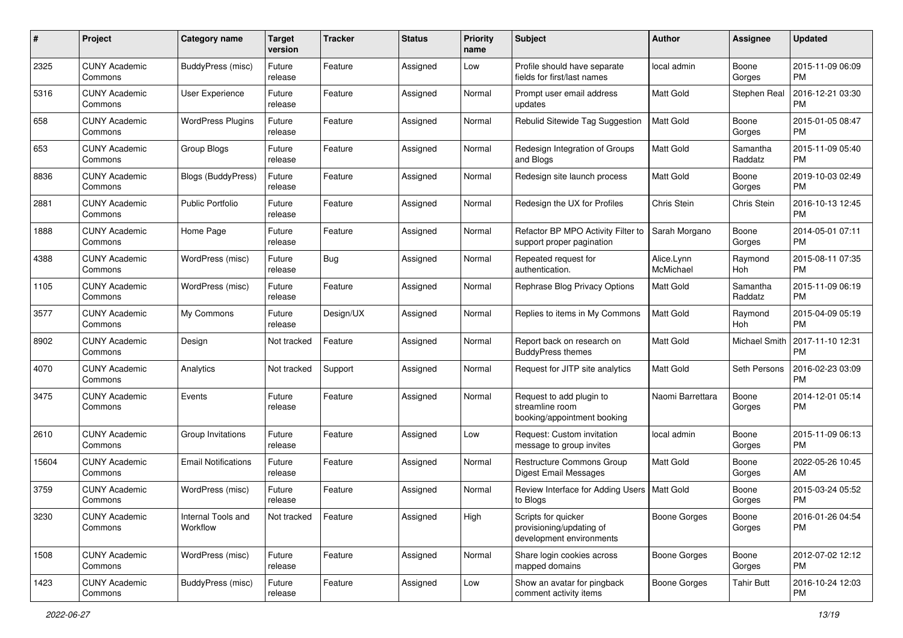| #     | Project                         | <b>Category name</b>           | <b>Target</b><br>version | <b>Tracker</b> | <b>Status</b> | <b>Priority</b><br>name | Subject                                                                     | Author                  | <b>Assignee</b>     | <b>Updated</b>                |
|-------|---------------------------------|--------------------------------|--------------------------|----------------|---------------|-------------------------|-----------------------------------------------------------------------------|-------------------------|---------------------|-------------------------------|
| 2325  | <b>CUNY Academic</b><br>Commons | BuddyPress (misc)              | Future<br>release        | Feature        | Assigned      | Low                     | Profile should have separate<br>fields for first/last names                 | local admin             | Boone<br>Gorges     | 2015-11-09 06:09<br>PM        |
| 5316  | <b>CUNY Academic</b><br>Commons | User Experience                | Future<br>release        | Feature        | Assigned      | Normal                  | Prompt user email address<br>updates                                        | Matt Gold               | Stephen Real        | 2016-12-21 03:30<br><b>PM</b> |
| 658   | <b>CUNY Academic</b><br>Commons | <b>WordPress Plugins</b>       | Future<br>release        | Feature        | Assigned      | Normal                  | Rebulid Sitewide Tag Suggestion                                             | Matt Gold               | Boone<br>Gorges     | 2015-01-05 08:47<br><b>PM</b> |
| 653   | <b>CUNY Academic</b><br>Commons | Group Blogs                    | Future<br>release        | Feature        | Assigned      | Normal                  | Redesign Integration of Groups<br>and Blogs                                 | <b>Matt Gold</b>        | Samantha<br>Raddatz | 2015-11-09 05:40<br><b>PM</b> |
| 8836  | <b>CUNY Academic</b><br>Commons | <b>Blogs (BuddyPress)</b>      | Future<br>release        | Feature        | Assigned      | Normal                  | Redesign site launch process                                                | <b>Matt Gold</b>        | Boone<br>Gorges     | 2019-10-03 02:49<br><b>PM</b> |
| 2881  | <b>CUNY Academic</b><br>Commons | <b>Public Portfolio</b>        | Future<br>release        | Feature        | Assigned      | Normal                  | Redesign the UX for Profiles                                                | Chris Stein             | Chris Stein         | 2016-10-13 12:45<br><b>PM</b> |
| 1888  | <b>CUNY Academic</b><br>Commons | Home Page                      | Future<br>release        | Feature        | Assigned      | Normal                  | Refactor BP MPO Activity Filter to<br>support proper pagination             | Sarah Morgano           | Boone<br>Gorges     | 2014-05-01 07:11<br>PM        |
| 4388  | <b>CUNY Academic</b><br>Commons | WordPress (misc)               | Future<br>release        | Bug            | Assigned      | Normal                  | Repeated request for<br>authentication.                                     | Alice.Lynn<br>McMichael | Raymond<br>Hoh      | 2015-08-11 07:35<br><b>PM</b> |
| 1105  | <b>CUNY Academic</b><br>Commons | WordPress (misc)               | Future<br>release        | Feature        | Assigned      | Normal                  | Rephrase Blog Privacy Options                                               | Matt Gold               | Samantha<br>Raddatz | 2015-11-09 06:19<br><b>PM</b> |
| 3577  | <b>CUNY Academic</b><br>Commons | My Commons                     | Future<br>release        | Design/UX      | Assigned      | Normal                  | Replies to items in My Commons                                              | Matt Gold               | Raymond<br>Hoh      | 2015-04-09 05:19<br><b>PM</b> |
| 8902  | <b>CUNY Academic</b><br>Commons | Design                         | Not tracked              | Feature        | Assigned      | Normal                  | Report back on research on<br><b>BuddyPress themes</b>                      | <b>Matt Gold</b>        | Michael Smith       | 2017-11-10 12:31<br><b>PM</b> |
| 4070  | <b>CUNY Academic</b><br>Commons | Analytics                      | Not tracked              | Support        | Assigned      | Normal                  | Request for JITP site analytics                                             | <b>Matt Gold</b>        | Seth Persons        | 2016-02-23 03:09<br><b>PM</b> |
| 3475  | <b>CUNY Academic</b><br>Commons | Events                         | Future<br>release        | Feature        | Assigned      | Normal                  | Request to add plugin to<br>streamline room<br>booking/appointment booking  | Naomi Barrettara        | Boone<br>Gorges     | 2014-12-01 05:14<br><b>PM</b> |
| 2610  | <b>CUNY Academic</b><br>Commons | Group Invitations              | Future<br>release        | Feature        | Assigned      | Low                     | Request: Custom invitation<br>message to group invites                      | local admin             | Boone<br>Gorges     | 2015-11-09 06:13<br><b>PM</b> |
| 15604 | <b>CUNY Academic</b><br>Commons | <b>Email Notifications</b>     | Future<br>release        | Feature        | Assigned      | Normal                  | Restructure Commons Group<br><b>Digest Email Messages</b>                   | Matt Gold               | Boone<br>Gorges     | 2022-05-26 10:45<br>AM        |
| 3759  | <b>CUNY Academic</b><br>Commons | WordPress (misc)               | Future<br>release        | Feature        | Assigned      | Normal                  | Review Interface for Adding Users   Matt Gold<br>to Blogs                   |                         | Boone<br>Gorges     | 2015-03-24 05:52<br>PM        |
| 3230  | <b>CUNY Academic</b><br>Commons | Internal Tools and<br>Workflow | Not tracked              | Feature        | Assigned      | High                    | Scripts for quicker<br>provisioning/updating of<br>development environments | Boone Gorges            | Boone<br>Gorges     | 2016-01-26 04:54<br><b>PM</b> |
| 1508  | <b>CUNY Academic</b><br>Commons | WordPress (misc)               | Future<br>release        | Feature        | Assigned      | Normal                  | Share login cookies across<br>mapped domains                                | Boone Gorges            | Boone<br>Gorges     | 2012-07-02 12:12<br><b>PM</b> |
| 1423  | <b>CUNY Academic</b><br>Commons | BuddyPress (misc)              | Future<br>release        | Feature        | Assigned      | Low                     | Show an avatar for pingback<br>comment activity items                       | Boone Gorges            | <b>Tahir Butt</b>   | 2016-10-24 12:03<br><b>PM</b> |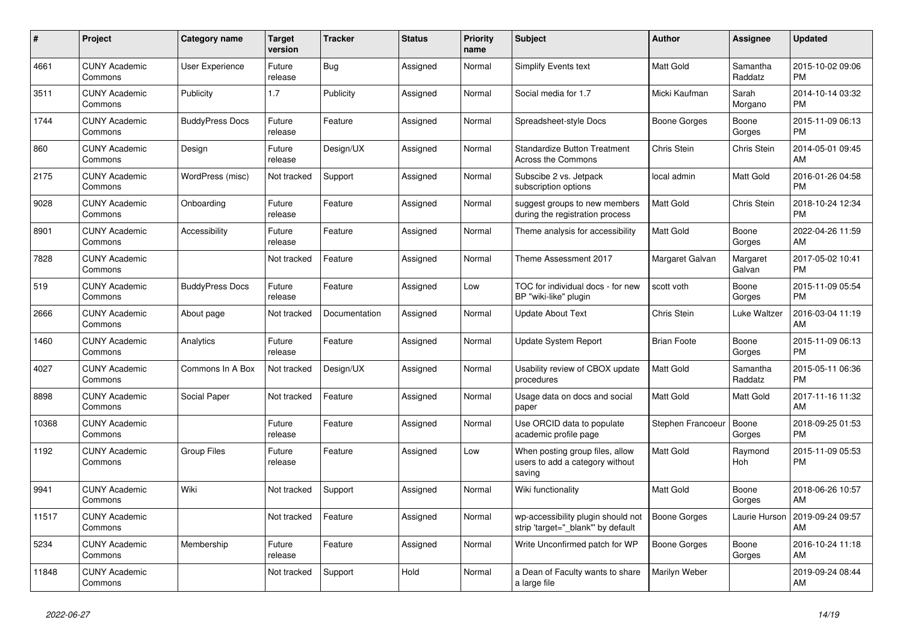| $\#$  | Project                         | Category name          | <b>Target</b><br>version | <b>Tracker</b> | <b>Status</b> | <b>Priority</b><br>name | <b>Subject</b>                                                               | Author              | <b>Assignee</b>     | <b>Updated</b>                |
|-------|---------------------------------|------------------------|--------------------------|----------------|---------------|-------------------------|------------------------------------------------------------------------------|---------------------|---------------------|-------------------------------|
| 4661  | <b>CUNY Academic</b><br>Commons | <b>User Experience</b> | Future<br>release        | Bug            | Assigned      | Normal                  | Simplify Events text                                                         | <b>Matt Gold</b>    | Samantha<br>Raddatz | 2015-10-02 09:06<br><b>PM</b> |
| 3511  | <b>CUNY Academic</b><br>Commons | Publicity              | 1.7                      | Publicity      | Assigned      | Normal                  | Social media for 1.7                                                         | Micki Kaufman       | Sarah<br>Morgano    | 2014-10-14 03:32<br><b>PM</b> |
| 1744  | <b>CUNY Academic</b><br>Commons | <b>BuddyPress Docs</b> | Future<br>release        | Feature        | Assigned      | Normal                  | Spreadsheet-style Docs                                                       | Boone Gorges        | Boone<br>Gorges     | 2015-11-09 06:13<br><b>PM</b> |
| 860   | <b>CUNY Academic</b><br>Commons | Design                 | Future<br>release        | Design/UX      | Assigned      | Normal                  | <b>Standardize Button Treatment</b><br>Across the Commons                    | Chris Stein         | Chris Stein         | 2014-05-01 09:45<br>AM        |
| 2175  | <b>CUNY Academic</b><br>Commons | WordPress (misc)       | Not tracked              | Support        | Assigned      | Normal                  | Subscibe 2 vs. Jetpack<br>subscription options                               | local admin         | <b>Matt Gold</b>    | 2016-01-26 04:58<br><b>PM</b> |
| 9028  | <b>CUNY Academic</b><br>Commons | Onboarding             | Future<br>release        | Feature        | Assigned      | Normal                  | suggest groups to new members<br>during the registration process             | Matt Gold           | Chris Stein         | 2018-10-24 12:34<br><b>PM</b> |
| 8901  | <b>CUNY Academic</b><br>Commons | Accessibility          | Future<br>release        | Feature        | Assigned      | Normal                  | Theme analysis for accessibility                                             | <b>Matt Gold</b>    | Boone<br>Gorges     | 2022-04-26 11:59<br>AM        |
| 7828  | <b>CUNY Academic</b><br>Commons |                        | Not tracked              | Feature        | Assigned      | Normal                  | Theme Assessment 2017                                                        | Margaret Galvan     | Margaret<br>Galvan  | 2017-05-02 10:41<br><b>PM</b> |
| 519   | <b>CUNY Academic</b><br>Commons | <b>BuddyPress Docs</b> | Future<br>release        | Feature        | Assigned      | Low                     | TOC for individual docs - for new<br>BP "wiki-like" plugin                   | scott voth          | Boone<br>Gorges     | 2015-11-09 05:54<br><b>PM</b> |
| 2666  | <b>CUNY Academic</b><br>Commons | About page             | Not tracked              | Documentation  | Assigned      | Normal                  | <b>Update About Text</b>                                                     | <b>Chris Stein</b>  | Luke Waltzer        | 2016-03-04 11:19<br>AM        |
| 1460  | <b>CUNY Academic</b><br>Commons | Analytics              | Future<br>release        | Feature        | Assigned      | Normal                  | Update System Report                                                         | <b>Brian Foote</b>  | Boone<br>Gorges     | 2015-11-09 06:13<br><b>PM</b> |
| 4027  | <b>CUNY Academic</b><br>Commons | Commons In A Box       | Not tracked              | Design/UX      | Assigned      | Normal                  | Usability review of CBOX update<br>procedures                                | <b>Matt Gold</b>    | Samantha<br>Raddatz | 2015-05-11 06:36<br><b>PM</b> |
| 8898  | <b>CUNY Academic</b><br>Commons | Social Paper           | Not tracked              | Feature        | Assigned      | Normal                  | Usage data on docs and social<br>paper                                       | <b>Matt Gold</b>    | Matt Gold           | 2017-11-16 11:32<br>AM        |
| 10368 | <b>CUNY Academic</b><br>Commons |                        | Future<br>release        | Feature        | Assigned      | Normal                  | Use ORCID data to populate<br>academic profile page                          | Stephen Francoeur   | Boone<br>Gorges     | 2018-09-25 01:53<br><b>PM</b> |
| 1192  | <b>CUNY Academic</b><br>Commons | <b>Group Files</b>     | Future<br>release        | Feature        | Assigned      | Low                     | When posting group files, allow<br>users to add a category without<br>saving | <b>Matt Gold</b>    | Raymond<br>Hoh      | 2015-11-09 05:53<br><b>PM</b> |
| 9941  | <b>CUNY Academic</b><br>Commons | Wiki                   | Not tracked              | Support        | Assigned      | Normal                  | Wiki functionality                                                           | <b>Matt Gold</b>    | Boone<br>Gorges     | 2018-06-26 10:57<br>AM        |
| 11517 | <b>CUNY Academic</b><br>Commons |                        | Not tracked              | Feature        | Assigned      | Normal                  | wp-accessibility plugin should not<br>strip 'target=" blank" by default      | <b>Boone Gorges</b> | Laurie Hurson       | 2019-09-24 09:57<br>AM        |
| 5234  | <b>CUNY Academic</b><br>Commons | Membership             | Future<br>release        | Feature        | Assigned      | Normal                  | Write Unconfirmed patch for WP                                               | Boone Gorges        | Boone<br>Gorges     | 2016-10-24 11:18<br>AM        |
| 11848 | <b>CUNY Academic</b><br>Commons |                        | Not tracked              | Support        | Hold          | Normal                  | a Dean of Faculty wants to share<br>a large file                             | Marilyn Weber       |                     | 2019-09-24 08:44<br>AM        |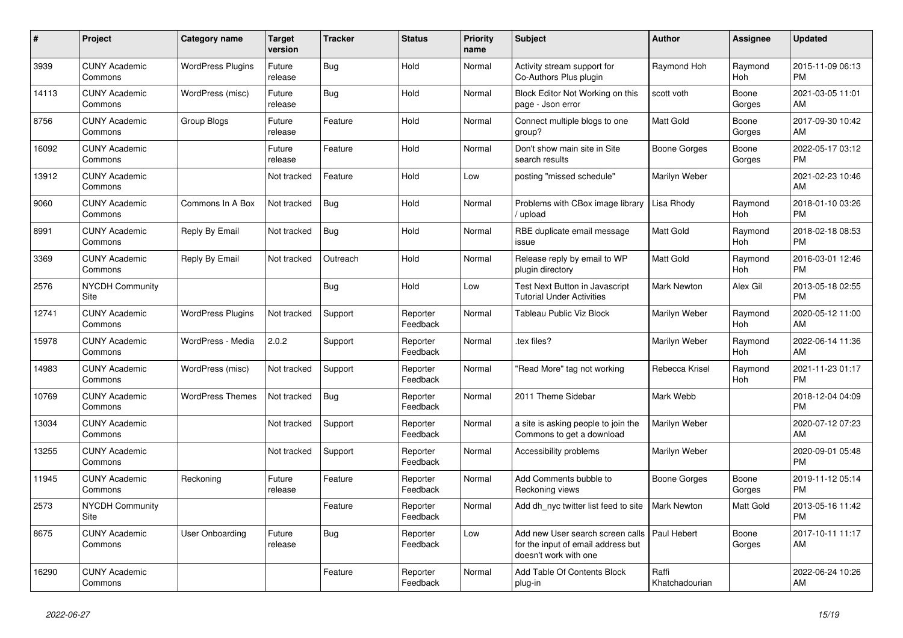| #     | Project                         | <b>Category name</b>     | <b>Target</b><br>version | <b>Tracker</b> | <b>Status</b>        | <b>Priority</b><br>name | <b>Subject</b>                                                                                  | <b>Author</b>           | Assignee              | <b>Updated</b>                |
|-------|---------------------------------|--------------------------|--------------------------|----------------|----------------------|-------------------------|-------------------------------------------------------------------------------------------------|-------------------------|-----------------------|-------------------------------|
| 3939  | <b>CUNY Academic</b><br>Commons | <b>WordPress Plugins</b> | Future<br>release        | Bug            | Hold                 | Normal                  | Activity stream support for<br>Co-Authors Plus plugin                                           | Raymond Hoh             | Raymond<br>Hoh        | 2015-11-09 06:13<br><b>PM</b> |
| 14113 | <b>CUNY Academic</b><br>Commons | WordPress (misc)         | Future<br>release        | Bug            | Hold                 | Normal                  | Block Editor Not Working on this<br>page - Json error                                           | scott voth              | Boone<br>Gorges       | 2021-03-05 11:01<br>AM        |
| 8756  | <b>CUNY Academic</b><br>Commons | Group Blogs              | Future<br>release        | Feature        | Hold                 | Normal                  | Connect multiple blogs to one<br>group?                                                         | Matt Gold               | Boone<br>Gorges       | 2017-09-30 10:42<br>AM        |
| 16092 | <b>CUNY Academic</b><br>Commons |                          | Future<br>release        | Feature        | Hold                 | Normal                  | Don't show main site in Site<br>search results                                                  | Boone Gorges            | Boone<br>Gorges       | 2022-05-17 03:12<br><b>PM</b> |
| 13912 | <b>CUNY Academic</b><br>Commons |                          | Not tracked              | Feature        | Hold                 | Low                     | posting "missed schedule"                                                                       | Marilyn Weber           |                       | 2021-02-23 10:46<br>AM        |
| 9060  | <b>CUNY Academic</b><br>Commons | Commons In A Box         | Not tracked              | Bug            | Hold                 | Normal                  | Problems with CBox image library<br>upload                                                      | Lisa Rhody              | Raymond<br>Hoh        | 2018-01-10 03:26<br><b>PM</b> |
| 8991  | <b>CUNY Academic</b><br>Commons | Reply By Email           | Not tracked              | <b>Bug</b>     | Hold                 | Normal                  | RBE duplicate email message<br>issue                                                            | <b>Matt Gold</b>        | Raymond<br>Hoh        | 2018-02-18 08:53<br><b>PM</b> |
| 3369  | <b>CUNY Academic</b><br>Commons | Reply By Email           | Not tracked              | Outreach       | Hold                 | Normal                  | Release reply by email to WP<br>plugin directory                                                | Matt Gold               | Raymond<br>Hoh        | 2016-03-01 12:46<br><b>PM</b> |
| 2576  | <b>NYCDH Community</b><br>Site  |                          |                          | <b>Bug</b>     | Hold                 | Low                     | Test Next Button in Javascript<br>Tutorial Under Activities                                     | Mark Newton             | Alex Gil              | 2013-05-18 02:55<br><b>PM</b> |
| 12741 | <b>CUNY Academic</b><br>Commons | <b>WordPress Plugins</b> | Not tracked              | Support        | Reporter<br>Feedback | Normal                  | Tableau Public Viz Block                                                                        | Marilyn Weber           | Raymond<br>Hoh        | 2020-05-12 11:00<br>AM        |
| 15978 | <b>CUNY Academic</b><br>Commons | WordPress - Media        | 2.0.2                    | Support        | Reporter<br>Feedback | Normal                  | tex files?                                                                                      | Marilyn Weber           | Raymond<br>Hoh        | 2022-06-14 11:36<br>AM        |
| 14983 | <b>CUNY Academic</b><br>Commons | WordPress (misc)         | Not tracked              | Support        | Reporter<br>Feedback | Normal                  | "Read More" tag not working                                                                     | Rebecca Krisel          | Raymond<br><b>Hoh</b> | 2021-11-23 01:17<br><b>PM</b> |
| 10769 | <b>CUNY Academic</b><br>Commons | <b>WordPress Themes</b>  | Not tracked              | <b>Bug</b>     | Reporter<br>Feedback | Normal                  | 2011 Theme Sidebar                                                                              | Mark Webb               |                       | 2018-12-04 04:09<br><b>PM</b> |
| 13034 | <b>CUNY Academic</b><br>Commons |                          | Not tracked              | Support        | Reporter<br>Feedback | Normal                  | a site is asking people to join the<br>Commons to get a download                                | Marilyn Weber           |                       | 2020-07-12 07:23<br>AM        |
| 13255 | <b>CUNY Academic</b><br>Commons |                          | Not tracked              | Support        | Reporter<br>Feedback | Normal                  | Accessibility problems                                                                          | Marilyn Weber           |                       | 2020-09-01 05:48<br><b>PM</b> |
| 11945 | <b>CUNY Academic</b><br>Commons | Reckoning                | Future<br>release        | Feature        | Reporter<br>Feedback | Normal                  | Add Comments bubble to<br>Reckoning views                                                       | Boone Gorges            | Boone<br>Gorges       | 2019-11-12 05:14<br><b>PM</b> |
| 2573  | <b>NYCDH Community</b><br>Site  |                          |                          | Feature        | Reporter<br>Feedback | Normal                  | Add dh_nyc twitter list feed to site                                                            | <b>Mark Newton</b>      | Matt Gold             | 2013-05-16 11:42<br><b>PM</b> |
| 8675  | <b>CUNY Academic</b><br>Commons | User Onboarding          | Future<br>release        | <b>Bug</b>     | Reporter<br>Feedback | Low                     | Add new User search screen calls<br>for the input of email address but<br>doesn't work with one | Paul Hebert             | Boone<br>Gorges       | 2017-10-11 11:17<br>AM        |
| 16290 | <b>CUNY Academic</b><br>Commons |                          |                          | Feature        | Reporter<br>Feedback | Normal                  | Add Table Of Contents Block<br>plug-in                                                          | Raffi<br>Khatchadourian |                       | 2022-06-24 10:26<br>AM        |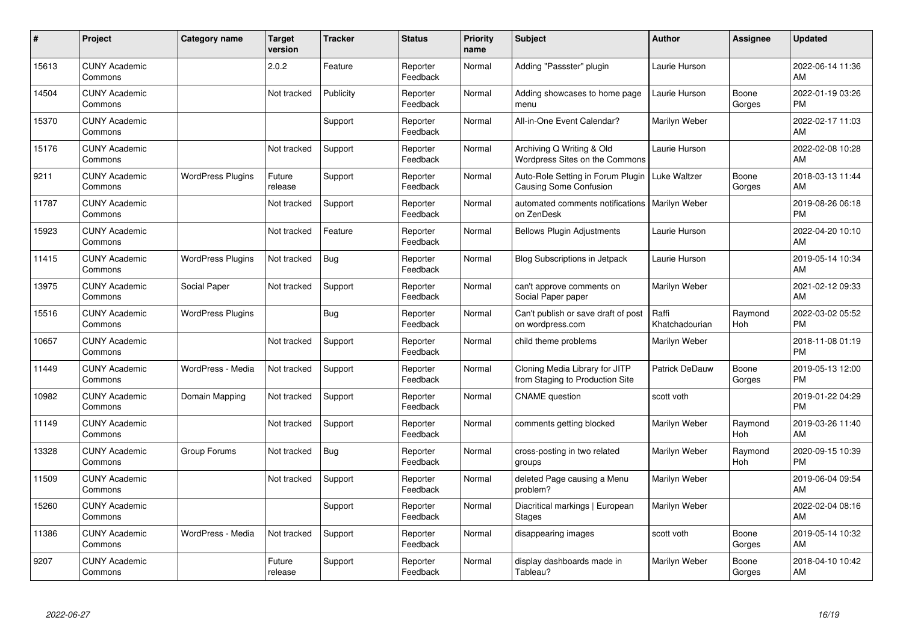| #     | Project                         | <b>Category name</b>     | <b>Target</b><br>version | <b>Tracker</b> | <b>Status</b>        | <b>Priority</b><br>name | <b>Subject</b>                                                     | <b>Author</b>           | <b>Assignee</b>       | <b>Updated</b>                |
|-------|---------------------------------|--------------------------|--------------------------|----------------|----------------------|-------------------------|--------------------------------------------------------------------|-------------------------|-----------------------|-------------------------------|
| 15613 | <b>CUNY Academic</b><br>Commons |                          | 2.0.2                    | Feature        | Reporter<br>Feedback | Normal                  | Adding "Passster" plugin                                           | Laurie Hurson           |                       | 2022-06-14 11:36<br>AM        |
| 14504 | <b>CUNY Academic</b><br>Commons |                          | Not tracked              | Publicity      | Reporter<br>Feedback | Normal                  | Adding showcases to home page<br>menu                              | Laurie Hurson           | Boone<br>Gorges       | 2022-01-19 03:26<br><b>PM</b> |
| 15370 | <b>CUNY Academic</b><br>Commons |                          |                          | Support        | Reporter<br>Feedback | Normal                  | All-in-One Event Calendar?                                         | Marilyn Weber           |                       | 2022-02-17 11:03<br>AM        |
| 15176 | <b>CUNY Academic</b><br>Commons |                          | Not tracked              | Support        | Reporter<br>Feedback | Normal                  | Archiving Q Writing & Old<br>Wordpress Sites on the Commons        | Laurie Hurson           |                       | 2022-02-08 10:28<br>AM        |
| 9211  | <b>CUNY Academic</b><br>Commons | <b>WordPress Plugins</b> | Future<br>release        | Support        | Reporter<br>Feedback | Normal                  | Auto-Role Setting in Forum Plugin<br><b>Causing Some Confusion</b> | Luke Waltzer            | Boone<br>Gorges       | 2018-03-13 11:44<br>AM        |
| 11787 | <b>CUNY Academic</b><br>Commons |                          | Not tracked              | Support        | Reporter<br>Feedback | Normal                  | automated comments notifications<br>on ZenDesk                     | <b>Marilyn Weber</b>    |                       | 2019-08-26 06:18<br><b>PM</b> |
| 15923 | <b>CUNY Academic</b><br>Commons |                          | Not tracked              | Feature        | Reporter<br>Feedback | Normal                  | <b>Bellows Plugin Adjustments</b>                                  | Laurie Hurson           |                       | 2022-04-20 10:10<br>AM        |
| 11415 | <b>CUNY Academic</b><br>Commons | <b>WordPress Plugins</b> | Not tracked              | Bug            | Reporter<br>Feedback | Normal                  | <b>Blog Subscriptions in Jetpack</b>                               | Laurie Hurson           |                       | 2019-05-14 10:34<br>AM        |
| 13975 | <b>CUNY Academic</b><br>Commons | Social Paper             | Not tracked              | Support        | Reporter<br>Feedback | Normal                  | can't approve comments on<br>Social Paper paper                    | Marilyn Weber           |                       | 2021-02-12 09:33<br>AM        |
| 15516 | <b>CUNY Academic</b><br>Commons | <b>WordPress Plugins</b> |                          | Bug            | Reporter<br>Feedback | Normal                  | Can't publish or save draft of post<br>on wordpress.com            | Raffi<br>Khatchadourian | Raymond<br>Hoh        | 2022-03-02 05:52<br><b>PM</b> |
| 10657 | <b>CUNY Academic</b><br>Commons |                          | Not tracked              | Support        | Reporter<br>Feedback | Normal                  | child theme problems                                               | Marilyn Weber           |                       | 2018-11-08 01:19<br><b>PM</b> |
| 11449 | <b>CUNY Academic</b><br>Commons | WordPress - Media        | Not tracked              | Support        | Reporter<br>Feedback | Normal                  | Cloning Media Library for JITP<br>from Staging to Production Site  | <b>Patrick DeDauw</b>   | Boone<br>Gorges       | 2019-05-13 12:00<br><b>PM</b> |
| 10982 | <b>CUNY Academic</b><br>Commons | Domain Mapping           | Not tracked              | Support        | Reporter<br>Feedback | Normal                  | <b>CNAME</b> question                                              | scott voth              |                       | 2019-01-22 04:29<br><b>PM</b> |
| 11149 | <b>CUNY Academic</b><br>Commons |                          | Not tracked              | Support        | Reporter<br>Feedback | Normal                  | comments getting blocked                                           | Marilyn Weber           | Raymond<br><b>Hoh</b> | 2019-03-26 11:40<br>AM        |
| 13328 | <b>CUNY Academic</b><br>Commons | Group Forums             | Not tracked              | <b>Bug</b>     | Reporter<br>Feedback | Normal                  | cross-posting in two related<br>groups                             | Marilyn Weber           | Raymond<br>Hoh        | 2020-09-15 10:39<br><b>PM</b> |
| 11509 | <b>CUNY Academic</b><br>Commons |                          | Not tracked              | Support        | Reporter<br>Feedback | Normal                  | deleted Page causing a Menu<br>problem?                            | Marilyn Weber           |                       | 2019-06-04 09:54<br>AM        |
| 15260 | <b>CUNY Academic</b><br>Commons |                          |                          | Support        | Reporter<br>Feedback | Normal                  | Diacritical markings   European<br><b>Stages</b>                   | Marilyn Weber           |                       | 2022-02-04 08:16<br>AM        |
| 11386 | <b>CUNY Academic</b><br>Commons | WordPress - Media        | Not tracked              | Support        | Reporter<br>Feedback | Normal                  | disappearing images                                                | scott voth              | Boone<br>Gorges       | 2019-05-14 10:32<br>AM        |
| 9207  | <b>CUNY Academic</b><br>Commons |                          | Future<br>release        | Support        | Reporter<br>Feedback | Normal                  | display dashboards made in<br>Tableau?                             | Marilyn Weber           | Boone<br>Gorges       | 2018-04-10 10:42<br>AM        |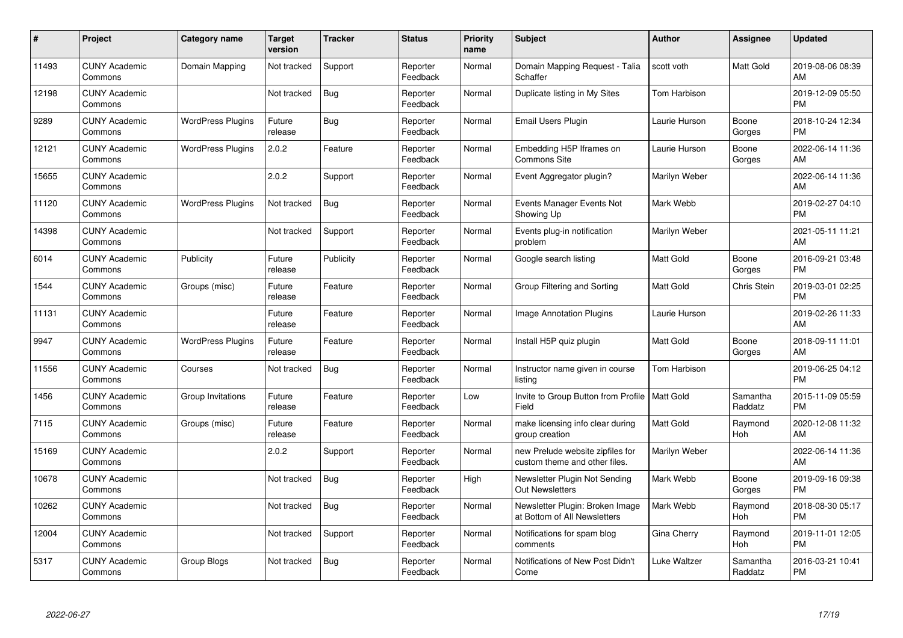| #     | Project                         | <b>Category name</b>     | <b>Target</b><br>version | <b>Tracker</b> | <b>Status</b>        | <b>Priority</b><br>name | <b>Subject</b>                                                    | <b>Author</b>    | <b>Assignee</b>     | <b>Updated</b>                |
|-------|---------------------------------|--------------------------|--------------------------|----------------|----------------------|-------------------------|-------------------------------------------------------------------|------------------|---------------------|-------------------------------|
| 11493 | <b>CUNY Academic</b><br>Commons | Domain Mapping           | Not tracked              | Support        | Reporter<br>Feedback | Normal                  | Domain Mapping Request - Talia<br>Schaffer                        | scott voth       | Matt Gold           | 2019-08-06 08:39<br>AM        |
| 12198 | <b>CUNY Academic</b><br>Commons |                          | Not tracked              | <b>Bug</b>     | Reporter<br>Feedback | Normal                  | Duplicate listing in My Sites                                     | Tom Harbison     |                     | 2019-12-09 05:50<br><b>PM</b> |
| 9289  | <b>CUNY Academic</b><br>Commons | <b>WordPress Plugins</b> | Future<br>release        | Bug            | Reporter<br>Feedback | Normal                  | <b>Email Users Plugin</b>                                         | Laurie Hurson    | Boone<br>Gorges     | 2018-10-24 12:34<br><b>PM</b> |
| 12121 | <b>CUNY Academic</b><br>Commons | <b>WordPress Plugins</b> | 2.0.2                    | Feature        | Reporter<br>Feedback | Normal                  | Embedding H5P Iframes on<br><b>Commons Site</b>                   | Laurie Hurson    | Boone<br>Gorges     | 2022-06-14 11:36<br>AM        |
| 15655 | <b>CUNY Academic</b><br>Commons |                          | 2.0.2                    | Support        | Reporter<br>Feedback | Normal                  | Event Aggregator plugin?                                          | Marilyn Weber    |                     | 2022-06-14 11:36<br>AM        |
| 11120 | <b>CUNY Academic</b><br>Commons | <b>WordPress Plugins</b> | Not tracked              | Bug            | Reporter<br>Feedback | Normal                  | Events Manager Events Not<br>Showing Up                           | Mark Webb        |                     | 2019-02-27 04:10<br><b>PM</b> |
| 14398 | <b>CUNY Academic</b><br>Commons |                          | Not tracked              | Support        | Reporter<br>Feedback | Normal                  | Events plug-in notification<br>problem                            | Marilyn Weber    |                     | 2021-05-11 11:21<br>AM        |
| 6014  | <b>CUNY Academic</b><br>Commons | Publicity                | Future<br>release        | Publicity      | Reporter<br>Feedback | Normal                  | Google search listing                                             | <b>Matt Gold</b> | Boone<br>Gorges     | 2016-09-21 03:48<br><b>PM</b> |
| 1544  | <b>CUNY Academic</b><br>Commons | Groups (misc)            | Future<br>release        | Feature        | Reporter<br>Feedback | Normal                  | Group Filtering and Sorting                                       | <b>Matt Gold</b> | Chris Stein         | 2019-03-01 02:25<br><b>PM</b> |
| 11131 | <b>CUNY Academic</b><br>Commons |                          | Future<br>release        | Feature        | Reporter<br>Feedback | Normal                  | Image Annotation Plugins                                          | Laurie Hurson    |                     | 2019-02-26 11:33<br>AM        |
| 9947  | <b>CUNY Academic</b><br>Commons | <b>WordPress Plugins</b> | Future<br>release        | Feature        | Reporter<br>Feedback | Normal                  | Install H5P quiz plugin                                           | Matt Gold        | Boone<br>Gorges     | 2018-09-11 11:01<br>AM        |
| 11556 | <b>CUNY Academic</b><br>Commons | Courses                  | Not tracked              | Bug            | Reporter<br>Feedback | Normal                  | Instructor name given in course<br>listing                        | Tom Harbison     |                     | 2019-06-25 04:12<br><b>PM</b> |
| 1456  | <b>CUNY Academic</b><br>Commons | Group Invitations        | Future<br>release        | Feature        | Reporter<br>Feedback | Low                     | Invite to Group Button from Profile   Matt Gold<br>Field          |                  | Samantha<br>Raddatz | 2015-11-09 05:59<br><b>PM</b> |
| 7115  | <b>CUNY Academic</b><br>Commons | Groups (misc)            | Future<br>release        | Feature        | Reporter<br>Feedback | Normal                  | make licensing info clear during<br>group creation                | <b>Matt Gold</b> | Raymond<br>Hoh      | 2020-12-08 11:32<br>AM        |
| 15169 | <b>CUNY Academic</b><br>Commons |                          | 2.0.2                    | Support        | Reporter<br>Feedback | Normal                  | new Prelude website zipfiles for<br>custom theme and other files. | Marilyn Weber    |                     | 2022-06-14 11:36<br>AM        |
| 10678 | <b>CUNY Academic</b><br>Commons |                          | Not tracked              | <b>Bug</b>     | Reporter<br>Feedback | High                    | Newsletter Plugin Not Sending<br><b>Out Newsletters</b>           | Mark Webb        | Boone<br>Gorges     | 2019-09-16 09:38<br><b>PM</b> |
| 10262 | <b>CUNY Academic</b><br>Commons |                          | Not tracked              | <b>Bug</b>     | Reporter<br>Feedback | Normal                  | Newsletter Plugin: Broken Image<br>at Bottom of All Newsletters   | Mark Webb        | Raymond<br>Hoh      | 2018-08-30 05:17<br><b>PM</b> |
| 12004 | <b>CUNY Academic</b><br>Commons |                          | Not tracked              | Support        | Reporter<br>Feedback | Normal                  | Notifications for spam blog<br>comments                           | Gina Cherry      | Raymond<br>Hoh      | 2019-11-01 12:05<br><b>PM</b> |
| 5317  | <b>CUNY Academic</b><br>Commons | Group Blogs              | Not tracked              | <b>Bug</b>     | Reporter<br>Feedback | Normal                  | Notifications of New Post Didn't<br>Come                          | Luke Waltzer     | Samantha<br>Raddatz | 2016-03-21 10:41<br><b>PM</b> |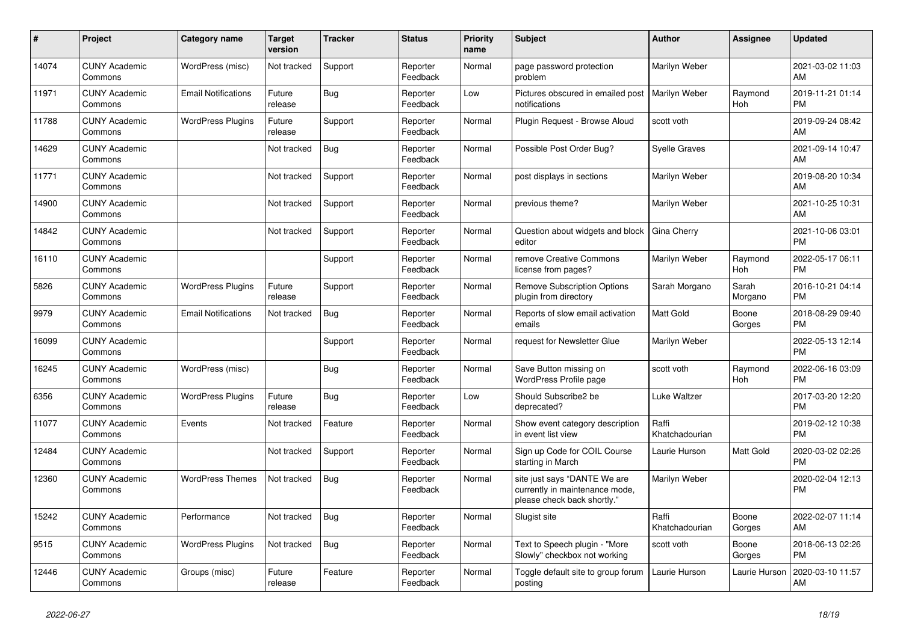| #     | <b>Project</b>                  | <b>Category name</b>       | Target<br>version | Tracker    | <b>Status</b>        | <b>Priority</b><br>name | <b>Subject</b>                                                                                | <b>Author</b>           | <b>Assignee</b>  | <b>Updated</b>                |
|-------|---------------------------------|----------------------------|-------------------|------------|----------------------|-------------------------|-----------------------------------------------------------------------------------------------|-------------------------|------------------|-------------------------------|
| 14074 | <b>CUNY Academic</b><br>Commons | WordPress (misc)           | Not tracked       | Support    | Reporter<br>Feedback | Normal                  | page password protection<br>problem                                                           | Marilyn Weber           |                  | 2021-03-02 11:03<br>AM        |
| 11971 | <b>CUNY Academic</b><br>Commons | <b>Email Notifications</b> | Future<br>release | <b>Bug</b> | Reporter<br>Feedback | Low                     | Pictures obscured in emailed post<br>notifications                                            | Marilyn Weber           | Raymond<br>Hoh   | 2019-11-21 01:14<br><b>PM</b> |
| 11788 | <b>CUNY Academic</b><br>Commons | <b>WordPress Plugins</b>   | Future<br>release | Support    | Reporter<br>Feedback | Normal                  | Plugin Request - Browse Aloud                                                                 | scott voth              |                  | 2019-09-24 08:42<br>AM        |
| 14629 | <b>CUNY Academic</b><br>Commons |                            | Not tracked       | <b>Bug</b> | Reporter<br>Feedback | Normal                  | Possible Post Order Bug?                                                                      | Syelle Graves           |                  | 2021-09-14 10:47<br>AM        |
| 11771 | <b>CUNY Academic</b><br>Commons |                            | Not tracked       | Support    | Reporter<br>Feedback | Normal                  | post displays in sections                                                                     | Marilyn Weber           |                  | 2019-08-20 10:34<br>AM        |
| 14900 | <b>CUNY Academic</b><br>Commons |                            | Not tracked       | Support    | Reporter<br>Feedback | Normal                  | previous theme?                                                                               | Marilyn Weber           |                  | 2021-10-25 10:31<br>AM        |
| 14842 | <b>CUNY Academic</b><br>Commons |                            | Not tracked       | Support    | Reporter<br>Feedback | Normal                  | Question about widgets and block<br>editor                                                    | Gina Cherry             |                  | 2021-10-06 03:01<br><b>PM</b> |
| 16110 | <b>CUNY Academic</b><br>Commons |                            |                   | Support    | Reporter<br>Feedback | Normal                  | remove Creative Commons<br>license from pages?                                                | Marilyn Weber           | Raymond<br>Hoh   | 2022-05-17 06:11<br><b>PM</b> |
| 5826  | <b>CUNY Academic</b><br>Commons | <b>WordPress Plugins</b>   | Future<br>release | Support    | Reporter<br>Feedback | Normal                  | Remove Subscription Options<br>plugin from directory                                          | Sarah Morgano           | Sarah<br>Morgano | 2016-10-21 04:14<br><b>PM</b> |
| 9979  | <b>CUNY Academic</b><br>Commons | <b>Email Notifications</b> | Not tracked       | <b>Bug</b> | Reporter<br>Feedback | Normal                  | Reports of slow email activation<br>emails                                                    | Matt Gold               | Boone<br>Gorges  | 2018-08-29 09:40<br><b>PM</b> |
| 16099 | <b>CUNY Academic</b><br>Commons |                            |                   | Support    | Reporter<br>Feedback | Normal                  | request for Newsletter Glue                                                                   | Marilyn Weber           |                  | 2022-05-13 12:14<br><b>PM</b> |
| 16245 | <b>CUNY Academic</b><br>Commons | WordPress (misc)           |                   | <b>Bug</b> | Reporter<br>Feedback | Normal                  | Save Button missing on<br>WordPress Profile page                                              | scott voth              | Raymond<br>Hoh   | 2022-06-16 03:09<br><b>PM</b> |
| 6356  | <b>CUNY Academic</b><br>Commons | <b>WordPress Plugins</b>   | Future<br>release | Bug        | Reporter<br>Feedback | Low                     | Should Subscribe2 be<br>deprecated?                                                           | Luke Waltzer            |                  | 2017-03-20 12:20<br><b>PM</b> |
| 11077 | <b>CUNY Academic</b><br>Commons | Events                     | Not tracked       | Feature    | Reporter<br>Feedback | Normal                  | Show event category description<br>in event list view                                         | Raffi<br>Khatchadourian |                  | 2019-02-12 10:38<br><b>PM</b> |
| 12484 | <b>CUNY Academic</b><br>Commons |                            | Not tracked       | Support    | Reporter<br>Feedback | Normal                  | Sign up Code for COIL Course<br>starting in March                                             | Laurie Hurson           | Matt Gold        | 2020-03-02 02:26<br><b>PM</b> |
| 12360 | <b>CUNY Academic</b><br>Commons | <b>WordPress Themes</b>    | Not tracked       | Bug        | Reporter<br>Feedback | Normal                  | site just says "DANTE We are<br>currently in maintenance mode,<br>please check back shortly." | Marilyn Weber           |                  | 2020-02-04 12:13<br><b>PM</b> |
| 15242 | <b>CUNY Academic</b><br>Commons | Performance                | Not tracked       | Bug        | Reporter<br>Feedback | Normal                  | Slugist site                                                                                  | Raffi<br>Khatchadourian | Boone<br>Gorges  | 2022-02-07 11:14<br>AM        |
| 9515  | <b>CUNY Academic</b><br>Commons | <b>WordPress Plugins</b>   | Not tracked       | <b>Bug</b> | Reporter<br>Feedback | Normal                  | Text to Speech plugin - "More<br>Slowly" checkbox not working                                 | scott voth              | Boone<br>Gorges  | 2018-06-13 02:26<br><b>PM</b> |
| 12446 | <b>CUNY Academic</b><br>Commons | Groups (misc)              | Future<br>release | Feature    | Reporter<br>Feedback | Normal                  | Toggle default site to group forum<br>posting                                                 | Laurie Hurson           | Laurie Hurson    | 2020-03-10 11:57<br>AM        |